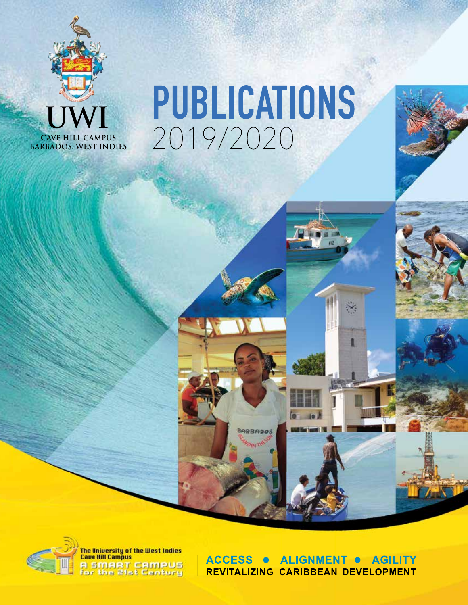

# PUBLICATIONS 2019/2020

BARBADOS



**ACCESS ALIGNMENT . AGILITY** REVITALIZING CARIBBEAN DEVELOPMENT

 $\ddot{x}$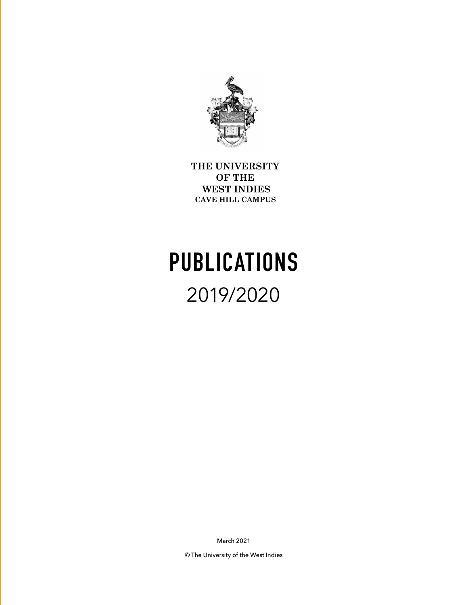

**THE UNIVERSITY OF THE WEST INDIES CAVE HILL CAMPUS** 

## **PUBLICATIONS** 2019/2020

March 2021

© The University of the West Indies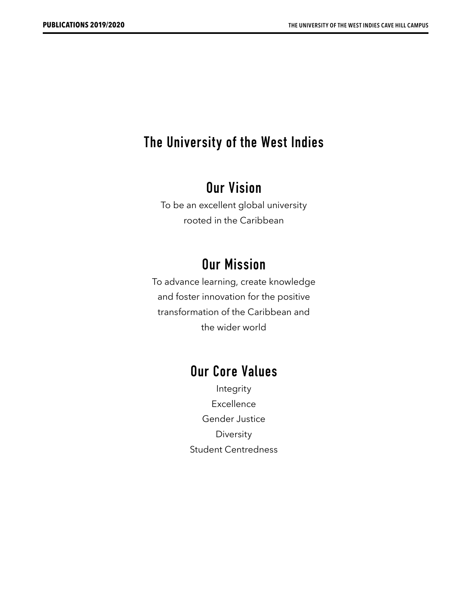### **The University of the West Indies**

### **Our Vision**

To be an excellent global university rooted in the Caribbean

### **Our Mission**

To advance learning, create knowledge and foster innovation for the positive transformation of the Caribbean and the wider world

### **Our Core Values**

Integrity Excellence Gender Justice Diversity Student Centredness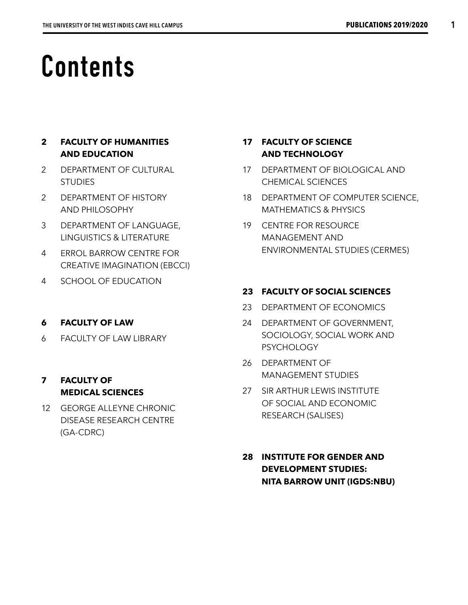## **Contents**

### **2 FACULTY OF HUMANITIES AND EDUCATION**

- 2 DEPARTMENT OF CULTURAL **STUDIES**
- 2 DEPARTMENT OF HISTORY AND PHILOSOPHY
- 3 DEPARTMENT OF LANGUAGE, LINGUISTICS & LITERATURE
- 4 ERROL BARROW CENTRE FOR CREATIVE IMAGINATION (EBCCI)
- 4 SCHOOL OF EDUCATION

### **6 FACULTY OF LAW**

6 FACULTY OF LAW LIBRARY

### **7 FACULTY OF MEDICAL SCIENCES**

12 GEORGE ALLEYNE CHRONIC DISEASE RESEARCH CENTRE (GA-CDRC)

### **17 FACULTY OF SCIENCE AND TECHNOLOGY**

- 17 DEPARTMENT OF BIOLOGICAL AND CHEMICAL SCIENCES
- 18 DEPARTMENT OF COMPUTER SCIENCE, MATHEMATICS & PHYSICS
- 19 CENTRE FOR RESOURCE MANAGEMENT AND ENVIRONMENTAL STUDIES (CERMES)

### **23 FACULTY OF SOCIAL SCIENCES**

- 23 DEPARTMENT OF ECONOMICS
- 24 DEPARTMENT OF GOVERNMENT, SOCIOLOGY, SOCIAL WORK AND **PSYCHOLOGY**
- 26 DEPARTMENT OF MANAGEMENT STUDIES
- 27 SIR ARTHUR LEWIS INSTITUTE OF SOCIAL AND ECONOMIC RESEARCH (SALISES)
- **28 INSTITUTE FOR GENDER AND DEVELOPMENT STUDIES: NITA BARROW UNIT (IGDS:NBU)**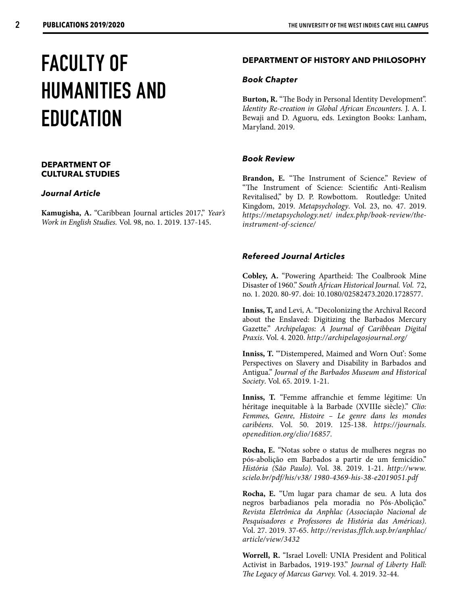## **FACULTY OF HUMANITIES AND EDUCATION**

### **DEPARTMENT OF CULTURAL STUDIES**

### *Journal Article*

**Kamugisha, A.** "Caribbean Journal articles 2017," *Year's Work in English Studies.* Vol. 98, no. 1. 2019. 137-145.

### **DEPARTMENT OF HISTORY AND PHILOSOPHY**

### *Book Chapter*

**Burton, R.** "The Body in Personal Identity Development". *Identity Re-creation in Global African Encounters.* J. A. I. Bewaji and D. Aguoru, eds. Lexington Books: Lanham, Maryland. 2019.

### *Book Review*

Brandon, E. "The Instrument of Science." Review of "The Instrument of Science: Scientific Anti-Realism Revitalised," by D. P. Rowbottom. Routledge: United Kingdom, 2019. *Metapsychology*. Vol. 23, no. 47. 2019. *https://metapsychology.net/ index.php/book-review/theinstrument-of-science/*

### *Refereed Journal Articles*

**Cobley, A.** "Powering Apartheid: The Coalbrook Mine Disaster of 1960." *South African Historical Journal. Vol.* 72, no. 1. 2020. 80-97. doi: 10.1080/02582473.2020.1728577.

**Inniss, T,** and Levi, A. "Decolonizing the Archival Record about the Enslaved: Digitizing the Barbados Mercury Gazette." *Archipelagos: A Journal of Caribbean Digital Praxis*. Vol. 4. 2020. *http://archipelagosjournal.org/*

Inniss, T. "Distempered, Maimed and Worn Out': Some Perspectives on Slavery and Disability in Barbados and Antigua." *Journal of the Barbados Museum and Historical Society*. Vol. 65. 2019. 1-21.

**Inniss, T.** "Femme affranchie et femme légitime: Un héritage inequitable à la Barbade (XVIIIe siècle)." *Clio: Femmes, Genre, Histoire – Le genre dans les mondes caribéens*. Vol. 50. 2019. 125-138. *https://journals. openedition.org/clio/16857*.

**Rocha, E.** "Notas sobre o status de mulheres negras no pós-abolição em Barbados a partir de um femicídio." *História (São Paulo).* Vol. 38. 2019. 1-21. *http://www. scielo.br/pdf/his/v38/ 1980-4369-his-38-e2019051.pdf*

**Rocha, E.** "Um lugar para chamar de seu. A luta dos negros barbadianos pela moradia no Pós-Abolição." *Revista Eletrônica da Anphlac (Associação Nacional de Pesquisadores e Professores de História das Américas)*. Vol. 27. 2019. 37-65. *http://revistas.fflch.usp.br/anphlac/ article/view/3432*

**Worrell, R.** "Israel Lovell: UNIA President and Political Activist in Barbados, 1919-193." *Journal of Liberty Hall: The Legacy of Marcus Garvey.* Vol. 4. 2019. 32-44.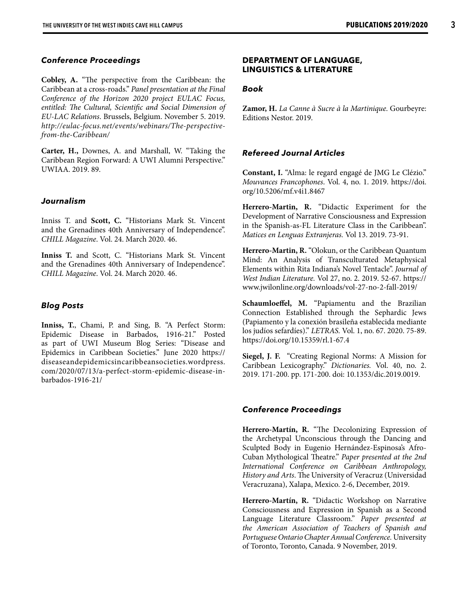### *Conference Proceedings*

**Cobley, A.** "The perspective from the Caribbean: the Caribbean at a cross-roads." *Panel presentation at the Final Conference of the Horizon 2020 project EULAC Focus, entitled: The Cultural, Scientific and Social Dimension of EU-LAC Relations*. Brussels, Belgium. November 5. 2019. *http://eulac-focus.net/events/webinars/The-perspectivefrom-the-Caribbean/*

**Carter, H.,** Downes, A. and Marshall, W. "Taking the Caribbean Region Forward: A UWI Alumni Perspective." UWIAA. 2019. 89.

### *Journalism*

Inniss T. and **Scott, C.** "Historians Mark St. Vincent and the Grenadines 40th Anniversary of Independence". *CHILL Magazine*. Vol. 24. March 2020. 46.

**Inniss T.** and Scott, C. "Historians Mark St. Vincent and the Grenadines 40th Anniversary of Independence". *CHILL Magazine*. Vol. 24. March 2020. 46.

#### *Blog Posts*

**Inniss, T.**, Chami, P. and Sing, B. "A Perfect Storm: Epidemic Disease in Barbados, 1916-21." Posted as part of UWI Museum Blog Series: "Disease and Epidemics in Caribbean Societies." June 2020 https:// diseaseandepidemicsincaribbeansocieties.wordpress. com/2020/07/13/a-perfect-storm-epidemic-disease-inbarbados-1916-21/

#### **DEPARTMENT OF LANGUAGE, LINGUISTICS & LITERATURE**

#### *Book*

**Zamor, H.** *La Canne à Sucre à la Martinique*. Gourbeyre: Editions Nestor. 2019.

### *Refereed Journal Articles*

**Constant, I.** "Alma: le regard engagé de JMG Le Clézio." *Mouvances Francophones*. Vol. 4, no. 1. 2019. https://doi. org/10.5206/mf.v4i1.8467

**Herrero-Martin, R.** "Didactic Experiment for the Development of Narrative Consciousness and Expression in the Spanish-as-FL Literature Class in the Caribbean". *Matices en Lenguas Extranjeras.* Vol 13. 2019. 73-91.

**Herrero-Martin, R.** "Olokun, or the Caribbean Quantum Mind: An Analysis of Transculturated Metaphysical Elements within Rita Indiana's Novel Tentacle". *Journal of West Indian Literature.* Vol 27, no. 2. 2019. 52-67. https:// www.jwilonline.org/downloads/vol-27-no-2-fall-2019/

**Schaumloeffel, M.** "Papiamentu and the Brazilian Connection Established through the Sephardic Jews (Papiamento y la conexión brasileña establecida mediante los judíos sefardíes)." *LETRAS.* Vol. 1, no. 67. 2020. 75-89. https://doi.org/10.15359/rl.1-67.4

**Siegel, J. F.** "Creating Regional Norms: A Mission for Caribbean Lexicography." *Dictionaries.* Vol. 40, no. 2. 2019. 171-200. pp. 171-200. doi: 10.1353/dic.2019.0019.

#### *Conference Proceedings*

**Herrero-Martín, R.** "The Decolonizing Expression of the Archetypal Unconscious through the Dancing and Sculpted Body in Eugenio Hernández-Espinosa's Afro-Cuban Mythological Theatre." *Paper presented at the 2nd International Conference on Caribbean Anthropology, History and Arts*. The University of Veracruz (Universidad Veracruzana), Xalapa, Mexico. 2-6, December, 2019.

**Herrero-Martín, R.** "Didactic Workshop on Narrative Consciousness and Expression in Spanish as a Second Language Literature Classroom." *Paper presented at the American Association of Teachers of Spanish and Portuguese Ontario Chapter Annual Conference.* University of Toronto, Toronto, Canada. 9 November, 2019.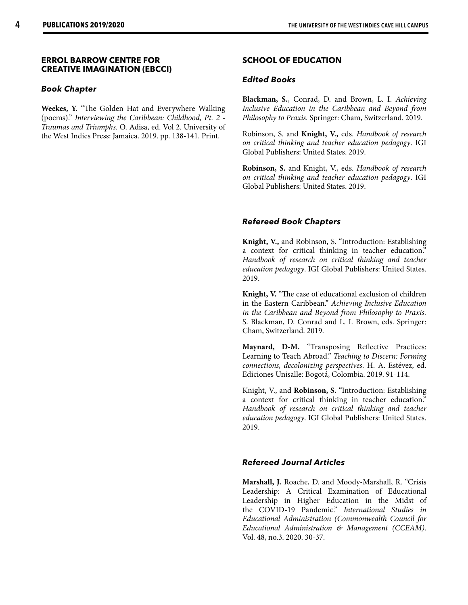### **ERROL BARROW CENTRE FOR CREATIVE IMAGINATION (EBCCI)**

### *Book Chapter*

**Weekes, Y.** "The Golden Hat and Everywhere Walking (poems)." *Interviewing the Caribbean: Childhood, Pt. 2 - Traumas and Triumphs.* O. Adisa, ed. Vol 2. University of the West Indies Press: Jamaica. 2019. pp. 138-141. Print.

### **SCHOOL OF EDUCATION**

### *Edited Books*

**Blackman, S.**, Conrad, D. and Brown, L. I. *Achieving Inclusive Education in the Caribbean and Beyond from Philosophy to Praxis.* Springer: Cham, Switzerland. 2019.

Robinson, S. and **Knight, V.,** eds. *Handbook of research on critical thinking and teacher education pedagogy*. IGI Global Publishers: United States. 2019.

**Robinson, S.** and Knight, V., eds. *Handbook of research on critical thinking and teacher education pedagogy*. IGI Global Publishers: United States. 2019.

### *Refereed Book Chapters*

**Knight, V.,** and Robinson, S. "Introduction: Establishing a context for critical thinking in teacher education." *Handbook of research on critical thinking and teacher education pedagogy*. IGI Global Publishers: United States. 2019.

**Knight, V.** "The case of educational exclusion of children in the Eastern Caribbean." *Achieving Inclusive Education in the Caribbean and Beyond from Philosophy to Praxis.* S. Blackman, D. Conrad and L. I. Brown, eds. Springer: Cham, Switzerland. 2019.

**Maynard, D-M.** "Transposing Reflective Practices: Learning to Teach Abroad." *Teaching to Discern: Forming connections, decolonizing perspectives*. H. A. Estévez, ed. Ediciones Unisalle: Bogotá, Colombia. 2019. 91-114.

Knight, V., and **Robinson, S.** "Introduction: Establishing a context for critical thinking in teacher education." *Handbook of research on critical thinking and teacher education pedagogy*. IGI Global Publishers: United States. 2019.

### *Refereed Journal Articles*

**Marshall, J.** Roache, D. and Moody-Marshall, R. "Crisis Leadership: A Critical Examination of Educational Leadership in Higher Education in the Midst of the COVID-19 Pandemic." *International Studies in Educational Administration (Commonwealth Council for Educational Administration & Management (CCEAM)*. Vol. 48, no.3. 2020. 30-37.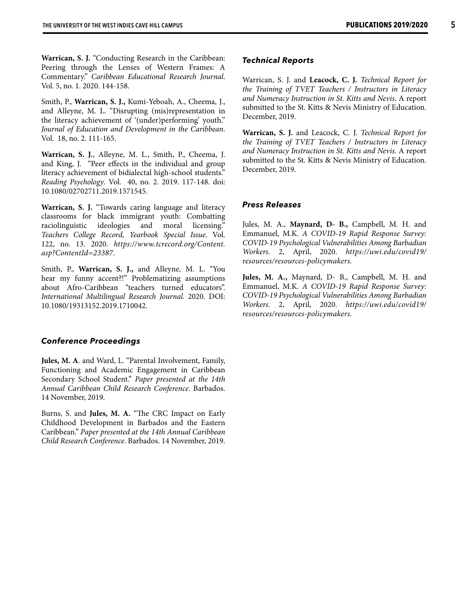**Warrican, S. J.** "Conducting Research in the Caribbean: Peering through the Lenses of Western Frames: A Commentary." *Caribbean Educational Research Journal*. Vol. 5, no. 1. 2020. 144-158.

Smith, P., **Warrican, S. J.,** Kumi-Yeboah, A., Cheema, J., and Alleyne, M. L. "Disrupting (mis)representation in the literacy achievement of '(under)performing' youth." *Journal of Education and Development in the Caribbean*. Vol. 18, no. 2. 111-165.

**Warrican, S. J.**, Alleyne, M. L., Smith, P., Cheema, J. and King, J. "Peer effects in the individual and group literacy achievement of bidialectal high-school students." *Reading Psychology*. Vol. 40, no. 2. 2019. 117-148. doi: 10.1080/02702711.2019.1571545.

**Warrican, S. J.** "Towards caring language and literacy classrooms for black immigrant youth: Combatting raciolinguistic ideologies and moral licensing." *Teachers College Record, Yearbook Special Issue*. Vol. 122, no. 13. 2020. *https://www.tcrecord.org/Content. asp?ContentId=23387*.

Smith, P., **Warrican, S. J.,** and Alleyne, M. L. "You hear my funny accent?!" Problematizing assumptions about Afro-Caribbean "teachers turned educators". *International Multilingual Research Journal.* 2020. DOI: 10.1080/19313152.2019.1710042.

### *Conference Proceedings*

**Jules, M. A**. and Ward, L. "Parental Involvement, Family, Functioning and Academic Engagement in Caribbean Secondary School Student." *Paper presented at the 14th Annual Caribbean Child Research Conference*. Barbados. 14 November, 2019.

Burns, S. and **Jules, M. A.** "The CRC Impact on Early Childhood Development in Barbados and the Eastern Caribbean." *Paper presented at the 14th Annual Caribbean Child Research Conference*. Barbados. 14 November, 2019.

#### *Technical Reports*

Warrican, S. J. and **Leacock, C. J.** *Technical Report for the Training of TVET Teachers / Instructors in Literacy and Numeracy Instruction in St. Kitts and Nevis*. A report submitted to the St. Kitts & Nevis Ministry of Education. December, 2019.

**Warrican, S. J.** and Leacock, C. J. *Technical Report for the Training of TVET Teachers / Instructors in Literacy and Numeracy Instruction in St. Kitts and Nevis*. A report submitted to the St. Kitts & Nevis Ministry of Education. December, 2019.

### *Press Releases*

Jules, M. A., **Maynard, D- B.,** Campbell, M. H. and Emmanuel, M.K. *A COVID-19 Rapid Response Survey: COVID-19 Psychological Vulnerabilities Among Barbadian Workers*. 2, April, 2020. *https://uwi.edu/covid19/ resources/resources-policymakers.* 

**Jules, M. A.,** Maynard, D- B., Campbell, M. H. and Emmanuel, M.K. *A COVID-19 Rapid Response Survey: COVID-19 Psychological Vulnerabilities Among Barbadian Workers*. 2, April, 2020. *https://uwi.edu/covid19/ resources/resources-policymakers.*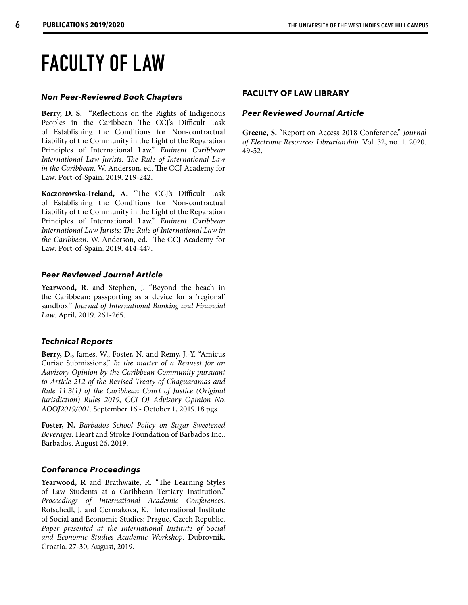### **FACULTY OF LAW**

### *Non Peer-Reviewed Book Chapters*

Berry, D. S. "Reflections on the Rights of Indigenous Peoples in the Caribbean The CCJ's Difficult Task of Establishing the Conditions for Non-contractual Liability of the Community in the Light of the Reparation Principles of International Law." *Eminent Caribbean International Law Jurists: The Rule of International Law in the Caribbean*. W. Anderson, ed. The CCJ Academy for Law: Port-of-Spain. 2019. 219-242.

**Kaczorowska-Ireland, A.** "The CCJ's Difficult Task of Establishing the Conditions for Non-contractual Liability of the Community in the Light of the Reparation Principles of International Law." *Eminent Caribbean International Law Jurists: The Rule of International Law in the Caribbean*. W. Anderson, ed. The CCJ Academy for Law: Port-of-Spain. 2019. 414-447.

### *Peer Reviewed Journal Article*

**Yearwood, R**. and Stephen, J. "Beyond the beach in the Caribbean: passporting as a device for a 'regional' sandbox." *Journal of International Banking and Financial Law*. April, 2019. 261-265.

### *Technical Reports*

**Berry, D.,** James, W., Foster, N. and Remy, J.-Y. "Amicus Curiae Submissions," *In the matter of a Request for an Advisory Opinion by the Caribbean Community pursuant to Article 212 of the Revised Treaty of Chaguaramas and Rule 11.3(1) of the Caribbean Court of Justice (Original Jurisdiction) Rules 2019, CCJ OJ Advisory Opinion No. AOOJ2019/001*. September 16 - October 1, 2019.18 pgs.

**Foster, N.** *Barbados School Policy on Sugar Sweetened Beverages.* Heart and Stroke Foundation of Barbados Inc.: Barbados. August 26, 2019.

### *Conference Proceedings*

**Yearwood, R** and Brathwaite, R. "The Learning Styles of Law Students at a Caribbean Tertiary Institution." *Proceedings of International Academic Conferences*. Rotschedl, J. and Cermakova, K. International Institute of Social and Economic Studies: Prague, Czech Republic. *Paper presented at the International Institute of Social and Economic Studies Academic Workshop*. Dubrovnik, Croatia. 27-30, August, 2019.

### **FACULTY OF LAW LIBRARY**

### *Peer Reviewed Journal Article*

**Greene, S.** "Report on Access 2018 Conference." *Journal of Electronic Resources Librarianship*. Vol. 32, no. 1. 2020. 49-52.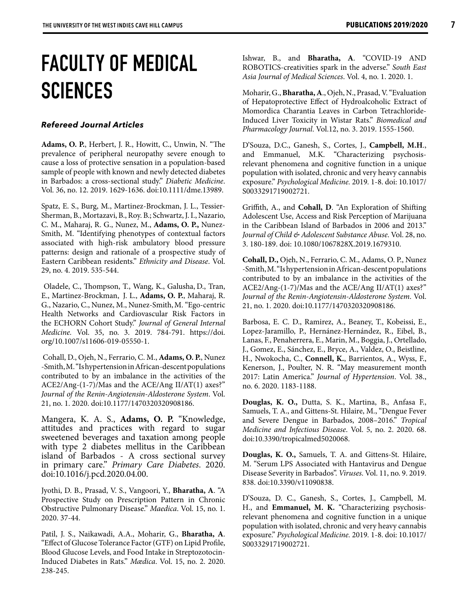### **FACULTY OF MEDICAL SCIENCES**

### *Refereed Journal Articles*

**Adams, O. P.**, Herbert, J. R., Howitt, C., Unwin, N. "The prevalence of peripheral neuropathy severe enough to cause a loss of protective sensation in a population-based sample of people with known and newly detected diabetes in Barbados: a cross-sectional study." *Diabetic Medicine*. Vol. 36, no. 12. 2019. 1629-1636. doi:10.1111/dme.13989.

Spatz, E. S., Burg, M., Martinez-Brockman, J. L., Tessier-Sherman, B., Mortazavi, B., Roy. B.; Schwartz, J. I., Nazario, C. M., Maharaj, R. G., Nunez, M., **Adams, O. P.,** Nunez-Smith, M. "Identifying phenotypes of contextual factors associated with high-risk ambulatory blood pressure patterns: design and rationale of a prospective study of Eastern Caribbean residents." *Ethnicity and Disease*. Vol. 29, no. 4. 2019. 535-544.

 Oladele, C., Thompson, T., Wang, K., Galusha, D., Tran, E., Martinez-Brockman, J. L., **Adams, O. P.**, Maharaj, R. G., Nazario, C., Nunez, M., Nunez-Smith,M. "Ego-centric Health Networks and Cardiovascular Risk Factors in the ECHORN Cohort Study." *Journal of General Internal Medicine.* Vol. 35, no. 3. 2019. 784-791. https://doi. org/10.1007/s11606-019-05550-1.

 Cohall, D., Ojeh, N., Ferrario, C. M., **Adams, O. P.**, Nunez -Smith, M. "Is hypertension in African-descent populations contributed to by an imbalance in the activities of the ACE2/Ang-(1-7)/Mas and the ACE/Ang II/AT(1) axes?" *Journal of the Renin-Angiotensin-Aldosterone System*. Vol. 21, no. 1. 2020. doi:10.1177/1470320320908186.

Mangera, K. A. S., **Adams, O. P.** "Knowledge, attitudes and practices with regard to sugar sweetened beverages and taxation among people with type 2 diabetes mellitus in the Caribbean island of Barbados - A cross sectional survey in primary care." *Primary Care Diabetes*. 2020. doi:10.1016/j.pcd.2020.04.00.

Jyothi, D. B., Prasad, V. S., Vangoori, Y., **Bharatha, A**. "A Prospective Study on Prescription Pattern in Chronic Obstructive Pulmonary Disease." *Maedica*. Vol. 15, no. 1. 2020. 37-44.

Patil, J. S., Naikawadi, A.A., Moharir, G., **Bharatha, A**. "Effect of Glucose Tolerance Factor (GTF) on Lipid Profile, Blood Glucose Levels, and Food Intake in Streptozotocin-Induced Diabetes in Rats." *Mædica*. Vol. 15, no. 2. 2020. 238-245.

Ishwar, B., and **Bharatha, A**. "COVID-19 AND ROBOTICS-creativities spark in the adverse." *South East Asia Journal of Medical Sciences*. Vol. 4, no. 1. 2020. 1.

Moharir, G., **Bharatha, A**., Ojeh, N., Prasad, V. "Evaluation of Hepatoprotective Effect of Hydroalcoholic Extract of Momordica Charantia Leaves in Carbon Tetrachloride-Induced Liver Toxicity in Wistar Rats." *Biomedical and Pharmacology Journal*. Vol.12, no. 3. 2019. 1555-1560.

D'Souza, D.C., Ganesh, S., Cortes, J., **Campbell, M.H**., and Emmanuel, M.K. "Characterizing psychosisrelevant phenomena and cognitive function in a unique population with isolated, chronic and very heavy cannabis exposure." *Psychological Medicine.* 2019*.* 1-8. doi: 10.1017/ S0033291719002721.

Griffith, A., and **Cohall, D**. "An Exploration of Shifting Adolescent Use, Access and Risk Perception of Marijuana in the Caribbean Island of Barbados in 2006 and 2013." *Journal of Child & Adolescent Substance Abuse*. Vol. 28, no. 3. 180-189. doi: 10.1080/1067828X.2019.1679310.

**Cohall, D.,** Ojeh, N., Ferrario, C. M., Adams, O. P., Nunez -Smith, M. "Is hypertension in African-descent populations contributed to by an imbalance in the activities of the ACE2/Ang-(1-7)/Mas and the ACE/Ang II/AT(1) axes?" *Journal of the Renin-Angiotensin-Aldosterone System*. Vol. 21, no. 1. 2020. doi:10.1177/1470320320908186.

Barbosa, E. C. D., Ramirez, A., Beaney, T., Kobeissi, E., Lopez-Jaramillo, P., Hernánez-Hernández, R., Eibel, B., Lanas, F., Penaherrera, E., Marin, M., Boggia, J., Ortellado, J., Gomez, E., Sánchez, E., Bryce, A., Valdez, O., Beistline, H., Nwokocha, C., **Connell, K.**, Barrientos, A., Wyss, F., Kenerson, J., Poulter, N. R. "May measurement month 2017: Latin America." *Journal of Hypertension*. Vol. 38., no. 6. 2020. 1183-1188.

**Douglas, K. O.,** Dutta, S. K., Martina, B., Anfasa F., Samuels, T. A., and Gittens-St. Hilaire, M., "Dengue Fever and Severe Dengue in Barbados, 2008–2016." *Tropical Medicine and Infectious Disease*. Vol. 5, no. 2. 2020. 68. doi:10.3390/tropicalmed5020068.

**Douglas, K. O.,** Samuels, T. A. and Gittens-St. Hilaire, M. "Serum LPS Associated with Hantavirus and Dengue Disease Severity in Barbados". *Viruses*. Vol. 11, no. 9. 2019. 838. doi:10.3390/v11090838.

D'Souza, D. C., Ganesh, S., Cortes, J., Campbell, M. H., and **Emmanuel, M. K.** "Characterizing psychosisrelevant phenomena and cognitive function in a unique population with isolated, chronic and very heavy cannabis exposure." *Psychological Medicine.* 2019*.* 1-8. doi: 10.1017/ S0033291719002721.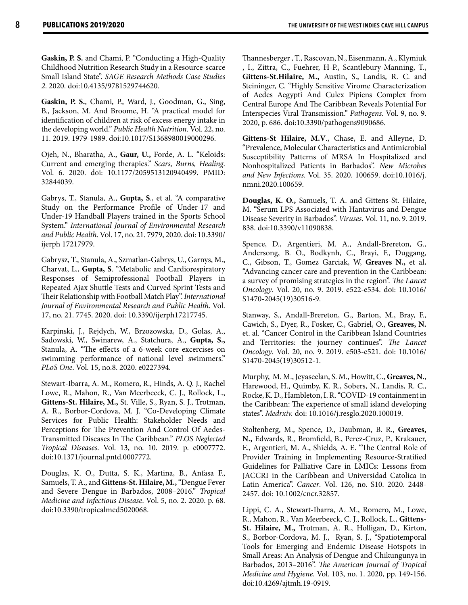**Gaskin, P. S.** and Chami, P. "Conducting a High-Quality Childhood Nutrition Research Study in a Resource-scarce Small Island State". *SAGE Research Methods Case Studies 2*. 2020. doi:10.4135/9781529744620.

**Gaskin, P. S.**, Chami, P., Ward, J., Goodman, G., Sing, B., Jackson, M. And Broome, H. "A practical model for identification of children at risk of excess energy intake in the developing world." *Public Health Nutrition*. Vol. 22, no. 11. 2019. 1979-1989. doi:10.1017/S1368980019000296.

Ojeh, N., Bharatha, A., **Gaur, U.,** Forde, A. L. "Keloids: Current and emerging therapies." *Scars, Burns, Healing*. Vol. 6. 2020. doi: 10.1177/2059513120940499. PMID: 32844039.

Gabrys, T., Stanula, A., **Gupta, S**., et al. "A comparative Study on the Performance Profile of Under-17 and Under-19 Handball Players trained in the Sports School System." *International Journal of Environmental Research and Public Health.* Vol. 17, no. 21. 7979, 2020. doi: 10.3390/ ijerph 17217979.

Gabrysz, T., Stanula, A., Szmatlan-Gabrys, U., Garnys, M., Charvat, L., **Gupta, S**. "Metabolic and Cardiorespiratory Responses of Semiprofessional Football Players in Repeated Ajax Shuttle Tests and Curved Sprint Tests and Their Relationship with Football Match Play". *International Journal of Environmental Research and Public Health*. Vol. 17, no. 21. 7745. 2020. doi: 10.3390/ijerph17217745.

Karpinski, J., Rejdych, W., Brzozowska, D., Golas, A., Sadowski, W., Swinarew, A., Statchura, A., **Gupta, S.,** Stanula, A. "The effects of a 6-week core excercises on swimming performance of national level swimmers." *PLoS One*. Vol. 15, no.8. 2020. e0227394.

Stewart-Ibarra, A. M., Romero, R., Hinds, A. Q. J., Rachel Lowe, R., Mahon, R., Van Meerbeeck, C. J., Rollock, L., **Gittens-St. Hilaire, M.,** St. Ville, S., Ryan, S. J., Trotman, A. R., Borbor-Cordova, M. J. "Co-Developing Climate Services for Public Health: Stakeholder Needs and Perceptions for The Prevention And Control Of Aedes-Transmitted Diseases In The Caribbean." *PLOS Neglected Tropical Diseases*. Vol. 13, no. 10. 2019. p. e0007772. doi:10.1371/journal.pntd.0007772.

Douglas, K. O., Dutta, S. K., Martina, B., Anfasa F., Samuels, T. A., and **Gittens-St. Hilaire, M.,** "Dengue Fever and Severe Dengue in Barbados, 2008–2016." *Tropical Medicine and Infectious Disease*. Vol. 5, no. 2. 2020. p. 68. doi:10.3390/tropicalmed5020068.

Thannesberger , T., Rascovan, N., Eisenmann, A., Klymiuk , I., Zittra, C., Fuehrer, H-P., Scantlebury-Manning, T., **Gittens-St.Hilaire, M.,** Austin, S., Landis, R. C. and Steininger, C. "Highly Sensitive Virome Characterization of Aedes Aegypti And Culex Pipiens Complex from Central Europe And The Caribbean Reveals Potential For Interspecies Viral Transmission." *Pathogens.* Vol. 9, no. 9. 2020, p. 686. doi:10.3390/pathogens9090686.

**Gittens-St Hilaire, M.V**., Chase, E. and Alleyne, D. "Prevalence, Molecular Characteristics and Antimicrobial Susceptibility Patterns of MRSA In Hospitalized and Nonhospitalized Patients in Barbados". *New Microbes and New Infections*. Vol. 35. 2020. 100659. doi:10.1016/j. nmni.2020.100659.

**Douglas, K. O.,** Samuels, T. A. and Gittens-St. Hilaire, M. "Serum LPS Associated with Hantavirus and Dengue Disease Severity in Barbados". *Viruses*. Vol. 11, no. 9. 2019. 838. doi:10.3390/v11090838.

Spence, D., Argentieri, M. A., Andall-Brereton, G., Andersong, B. O., Bodkynh, C., Brayi, F., Duggang, C., Gibson, T., Gomez Garciak, W, **Greaves N.,** et al**.** "Advancing cancer care and prevention in the Caribbean: a survey of promising strategies in the region". *The Lancet Oncology*. Vol. 20, no. 9. 2019. e522-e534. doi: 10.1016/ S1470-2045(19)30516-9.

Stanway, S., Andall-Brereton, G., Barton, M., Bray, F., Cawich, S., Dyer, R., Fosker, C., Gabriel, O., **Greaves, N.** et. al. "Cancer Control in the Caribbean Island Countries and Territories: the journey continues". *The Lancet Oncology*. Vol. 20, no. 9. 2019. e503-e521. doi: 10.1016/ S1470-2045(19)30512-1.

Murphy, M. M., Jeyaseelan, S. M., Howitt, C., **Greaves, N.**, Harewood, H., Quimby, K. R., Sobers, N., Landis, R. C., Rocke, K. D., Hambleton, I. R. "COVID-19 containment in the Caribbean: The experience of small island developing states". *Medrxiv.* doi: 10.1016/j.resglo.2020.100019.

Stoltenberg, M., Spence, D., Daubman, B. R., **Greaves, N.,** Edwards, R., Bromfield, B., Perez-Cruz, P., Krakauer, E., Argentieri, M. A., Shields, A. E. "The Central Role of Provider Training in Implementing Resource-Stratified Guidelines for Palliative Care in LMICs: Lessons from JACCRI in the Caribbean and Universidad Catolica in Latin America". *Cancer*. Vol. 126, no. S10. 2020. 2448- 2457. doi: 10.1002/cncr.32857.

Lippi, C. A., Stewart-Ibarra, A. M., Romero, M., Lowe, R., Mahon, R., Van Meerbeeck, C. J., Rollock, L., **Gittens-St. Hilaire, M.,** Trotman, A. R., Holligan, D., Kirton, S., Borbor-Cordova, M. J., Ryan, S. J., "Spatiotemporal Tools for Emerging and Endemic Disease Hotspots in Small Areas: An Analysis of Dengue and Chikungunya in Barbados, 2013–2016". *The American Journal of Tropical Medicine and Hygiene*. Vol. 103, no. 1. 2020, pp. 149-156. doi:10.4269/ajtmh.19-0919.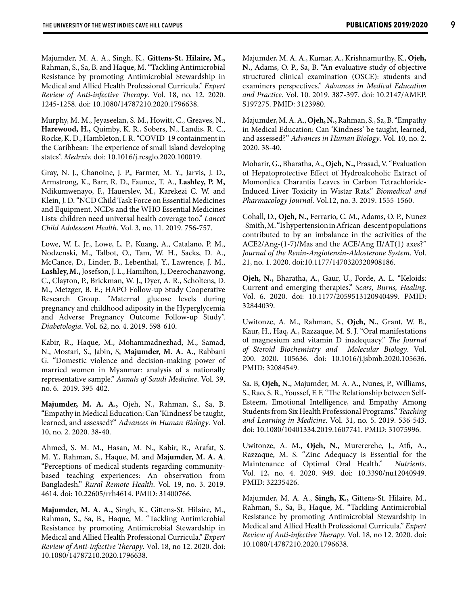Majumder, M. A. A., Singh, K., **Gittens-St. Hilaire, M.,** Rahman, S., Sa, B. and Haque, M. "Tackling Antimicrobial Resistance by promoting Antimicrobial Stewardship in Medical and Allied Health Professional Curricula." *Expert Review of Anti-infective Therapy*. Vol. 18, no. 12. 2020. 1245-1258. doi: 10.1080/14787210.2020.1796638.

Murphy, M. M., Jeyaseelan, S. M., Howitt, C., Greaves, N., **Harewood, H.,** Quimby, K. R., Sobers, N., Landis, R. C., Rocke, K. D., Hambleton, I. R. "COVID-19 containment in the Caribbean: The experience of small island developing states". *Medrxiv.* doi: 10.1016/j.resglo.2020.100019.

Gray, N. J., Chanoine, J. P., Farmer, M. Y., Jarvis, J. D., Armstrong, K., Barr, R. D., Faunce, T. A., **Lashley, P. M,** Ndikumwenayo, F., Hauerslev, M., Karekezi C. W. and Klein, J. D. "NCD Child Task Force on Essential Medicines and Equipment. NCDs and the WHO Essential Medicines Lists: children need universal health coverage too." *Lancet Child Adolescent Health*. Vol. 3, no. 11. 2019. 756-757.

Lowe, W. L. Jr., Lowe, L. P., Kuang, A., Catalano, P. M., Nodzenski, M., Talbot, O., Tam, W. H., Sacks, D. A., McCance, D., Linder, B., Lebenthal, Y., Lawrence, J. M., **Lashley, M.,** Josefson, J. L., Hamilton, J., Deerochanawong, C., Clayton, P., Brickman, W. J., Dyer, A. R., Scholtens, D. M., Metzger, B. E.; HAPO Follow-up Study Cooperative Research Group. "Maternal glucose levels during pregnancy and childhood adiposity in the Hyperglycemia and Adverse Pregnancy Outcome Follow-up Study". *Diabetologia*. Vol. 62, no. 4. 2019. 598-610.

Kabir, R., Haque, M., Mohammadnezhad, M., Samad, N., Mostari, S., Jabin, S, **Majumder, M. A. A.**, Rabbani G. "Domestic violence and decision-making power of married women in Myanmar: analysis of a nationally representative sample." *Annals of Saudi Medicine*. Vol. 39, no. 6. 2019. 395-402.

**Majumder, M. A. A.,** Ojeh, N., Rahman, S., Sa, B. "Empathy in Medical Education: Can 'Kindness' be taught, learned, and assessed?" *Advances in Human Biology*. Vol. 10, no. 2. 2020. 38-40.

Ahmed, S. M. M., Hasan, M. N., Kabir, R., Arafat, S. M. Y., Rahman, S., Haque, M. and **Majumder, M. A. A**. "Perceptions of medical students regarding communitybased teaching experiences: An observation from Bangladesh." *Rural Remote Health*. Vol. 19, no. 3. 2019. 4614. doi: 10.22605/rrh4614. PMID: 31400766.

**Majumder, M. A. A.,** Singh, K., Gittens-St. Hilaire, M., Rahman, S., Sa, B., Haque, M. "Tackling Antimicrobial Resistance by promoting Antimicrobial Stewardship in Medical and Allied Health Professional Curricula." *Expert Review of Anti-infective Therapy*. Vol. 18, no 12. 2020. doi: 10.1080/14787210.2020.1796638.

Majumder, M. A. A., Kumar, A., Krishnamurthy, K., **Ojeh, N.**, Adams, O. P., Sa, B. "An evaluative study of objective structured clinical examination (OSCE): students and examiners perspectives." *Advances in Medical Education and Practice*. Vol. 10. 2019. 387-397. doi: 10.2147/AMEP. S197275. PMID: 3123980.

Majumder, M. A. A., **Ojeh, N.,** Rahman, S., Sa, B. "Empathy in Medical Education: Can 'Kindness' be taught, learned, and assessed?" *Advances in Human Biology*. Vol. 10, no. 2. 2020. 38-40.

Moharir, G., Bharatha, A., **Ojeh, N.,** Prasad, V. "Evaluation of Hepatoprotective Effect of Hydroalcoholic Extract of Momordica Charantia Leaves in Carbon Tetrachloride-Induced Liver Toxicity in Wistar Rats." *Biomedical and Pharmacology Journal*. Vol.12, no. 3. 2019. 1555-1560.

Cohall, D., **Ojeh, N.,** Ferrario, C. M., Adams, O. P., Nunez -Smith, M. "Is hypertension in African-descent populations contributed to by an imbalance in the activities of the ACE2/Ang-(1-7)/Mas and the ACE/Ang II/AT(1) axes?" *Journal of the Renin-Angiotensin-Aldosterone System*. Vol. 21, no. 1. 2020. doi:10.1177/1470320320908186.

**Ojeh, N.,** Bharatha, A., Gaur, U., Forde, A. L. "Keloids: Current and emerging therapies." *Scars, Burns, Healing*. Vol. 6. 2020. doi: 10.1177/2059513120940499. PMID: 32844039.

Uwitonze, A. M., Rahman, S., **Ojeh, N.**, Grant, W. B., Kaur, H., Haq, A., Razzaque, M. S. J. "Oral manifestations of magnesium and vitamin D inadequacy." *The Journal of Steroid Biochemistry and Molecular Biology*. Vol. 200. 2020. 105636. doi: 10.1016/j.jsbmb.2020.105636. PMID: 32084549.

Sa. B, **Ojeh, N.**, Majumder, M. A. A., Nunes, P., Williams, S., Rao, S. R., Youssef, F. F. "The Relationship between Self-Esteem, Emotional Intelligence, and Empathy Among Students from Six Health Professional Programs." *Teaching and Learning in Medicine*. Vol. 31, no. 5. 2019. 536-543. doi: 10.1080/10401334.2019.1607741. PMID: 31075996.

Uwitonze, A. M., **Ojeh, N.**, Murererehe, J., Atfi, A., Razzaque, M. S. "Zinc Adequacy is Essential for the Maintenance of Optimal Oral Health." *Nutrients*. Vol. 12, no. 4. 2020. 949. doi: 10.3390/nu12040949. PMID: 32235426.

Majumder, M. A. A., **Singh, K.,** Gittens-St. Hilaire, M., Rahman, S., Sa, B., Haque, M. "Tackling Antimicrobial Resistance by promoting Antimicrobial Stewardship in Medical and Allied Health Professional Curricula." *Expert Review of Anti-infective Therapy*. Vol. 18, no 12. 2020. doi: 10.1080/14787210.2020.1796638.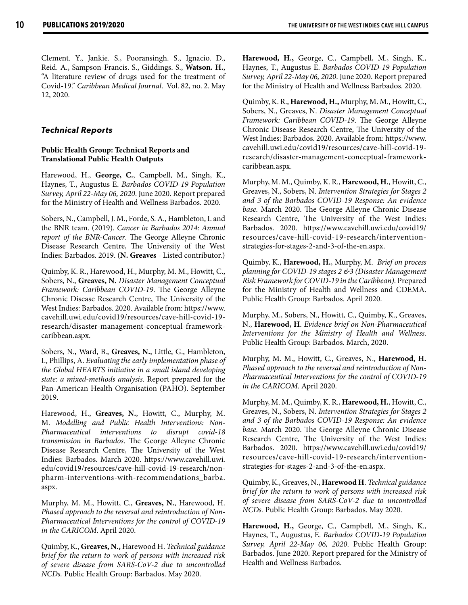Clement. Y., Jankie. S., Pooransingh. S., Ignacio. D., Reid. A., Sampson-Francis. S., Giddings. S., **Watson. H.**, "A literature review of drugs used for the treatment of Covid-19." *Caribbean Medical Journal*. Vol. 82, no. 2. May 12, 2020.

### *Technical Reports*

### **Public Health Group: Technical Reports and Translational Public Health Outputs**

Harewood, H., **George, C.**, Campbell, M., Singh, K., Haynes, T., Augustus E. *Barbados COVID-19 Population Survey, April 22-May 06, 2020*. June 2020. Report prepared for the Ministry of Health and Wellness Barbados. 2020.

Sobers, N., Campbell, J. M., Forde, S. A., Hambleton, I. and the BNR team. (2019). *Cancer in Barbados 2014: Annual report of the BNR-Cancer*. The George Alleyne Chronic Disease Research Centre, The University of the West Indies: Barbados. 2019. (**N. Greaves** - Listed contributor.)

Quimby, K. R., Harewood, H., Murphy, M. M., Howitt, C., Sobers, N., **Greaves, N.** *Disaster Management Conceptual Framework: Caribbean COVID-19*. The George Alleyne Chronic Disease Research Centre, The University of the West Indies: Barbados. 2020. Available from: https://www. cavehill.uwi.edu/covid19/resources/cave-hill-covid-19 research/disaster-management-conceptual-frameworkcaribbean.aspx.

Sobers, N., Ward, B., **Greaves, N.**, Little, G., Hambleton, I., Phillips, A. *Evaluating the early implementation phase of the Global HEARTS initiative in a small island developing state: a mixed-methods analysis*. Report prepared for the Pan-American Health Organisation (PAHO). September 2019.

Harewood, H., **Greaves, N.**, Howitt, C., Murphy, M. M. *Modelling and Public Health Interventions: Non-Pharmaceutical interventions to disrupt covid-18 transmission in Barbados*. The George Alleyne Chronic Disease Research Centre, The University of the West Indies: Barbados. March 2020. https://www.cavehill.uwi. edu/covid19/resources/cave-hill-covid-19-research/nonpharm-interventions-with-recommendations\_barba. aspx.

Murphy, M. M., Howitt, C., **Greaves, N.**, Harewood, H. *Phased approach to the reversal and reintroduction of Non-Pharmaceutical Interventions for the control of COVID-19 in the CARICOM*. April 2020.

Quimby, K., **Greaves, N.,** Harewood H. *Technical guidance brief for the return to work of persons with increased risk of severe disease from SARS-CoV-2 due to uncontrolled NCDs.* Public Health Group: Barbados. May 2020.

**Harewood, H.,** George, C., Campbell, M., Singh, K., Haynes, T., Augustus E. *Barbados COVID-19 Population Survey, April 22-May 06, 2020*. June 2020. Report prepared for the Ministry of Health and Wellness Barbados. 2020.

Quimby, K. R., **Harewood, H.,** Murphy, M. M., Howitt, C., Sobers, N., Greaves, N. *Disaster Management Conceptual Framework: Caribbean COVID-19*. The George Alleyne Chronic Disease Research Centre, The University of the West Indies: Barbados. 2020. Available from: https://www. cavehill.uwi.edu/covid19/resources/cave-hill-covid-19 research/disaster-management-conceptual-frameworkcaribbean.aspx.

Murphy, M. M., Quimby, K. R., **Harewood, H.**, Howitt, C., Greaves, N., Sobers, N. *Intervention Strategies for Stages 2 and 3 of the Barbados COVID-19 Response: An evidence base.* March 2020. The George Alleyne Chronic Disease Research Centre, The University of the West Indies: Barbados. 2020. https://www.cavehill.uwi.edu/covid19/ resources/cave-hill-covid-19-research/interventionstrategies-for-stages-2-and-3-of-the-en.aspx.

Quimby, K., **Harewood, H.**, Murphy, M. *Brief on process planning for COVID-19 stages 2 &3 (Disaster Management Risk Framework for COVID-19 in the Caribbean).* Prepared for the Ministry of Health and Wellness and CDEMA. Public Health Group: Barbados. April 2020.

Murphy, M., Sobers, N., Howitt, C., Quimby, K., Greaves, N., **Harewood, H**. *Evidence brief on Non-Pharmaceutical Interventions for the Ministry of Health and Wellness*. Public Health Group: Barbados. March, 2020.

Murphy, M. M., Howitt, C., Greaves, N., **Harewood, H.** *Phased approach to the reversal and reintroduction of Non-Pharmaceutical Interventions for the control of COVID-19 in the CARICOM*. April 2020.

Murphy, M. M., Quimby, K. R., **Harewood, H.**, Howitt, C., Greaves, N., Sobers, N. *Intervention Strategies for Stages 2 and 3 of the Barbados COVID-19 Response: An evidence base.* March 2020. The George Alleyne Chronic Disease Research Centre, The University of the West Indies: Barbados. 2020. https://www.cavehill.uwi.edu/covid19/ resources/cave-hill-covid-19-research/interventionstrategies-for-stages-2-and-3-of-the-en.aspx.

Quimby, K., Greaves, N., **Harewood H**. *Technical guidance brief for the return to work of persons with increased risk of severe disease from SARS-CoV-2 due to uncontrolled NCDs.* Public Health Group: Barbados. May 2020.

**Harewood, H.,** George, C., Campbell, M., Singh, K., Haynes, T., Augustus, E. *Barbados COVID-19 Population Survey, April 22-May 06, 2020*. Public Health Group: Barbados. June 2020. Report prepared for the Ministry of Health and Wellness Barbados.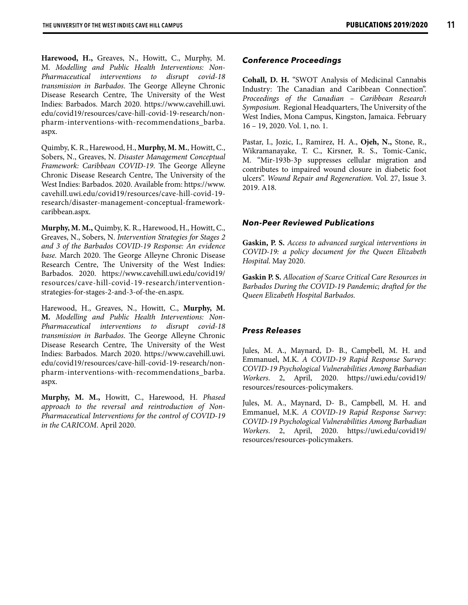**Harewood, H.,** Greaves, N., Howitt, C., Murphy, M. M. *Modelling and Public Health Interventions: Non-Pharmaceutical interventions to disrupt covid-18 transmission in Barbados*. The George Alleyne Chronic Disease Research Centre, The University of the West Indies: Barbados. March 2020. https://www.cavehill.uwi. edu/covid19/resources/cave-hill-covid-19-research/nonpharm-interventions-with-recommendations\_barba. aspx.

Quimby, K. R., Harewood, H., **Murphy, M. M.**, Howitt, C., Sobers, N., Greaves, N. *Disaster Management Conceptual Framework: Caribbean COVID-19*. The George Alleyne Chronic Disease Research Centre, The University of the West Indies: Barbados. 2020. Available from: https://www. cavehill.uwi.edu/covid19/resources/cave-hill-covid-19 research/disaster-management-conceptual-frameworkcaribbean.aspx.

**Murphy, M. M.,** Quimby, K. R., Harewood, H., Howitt, C., Greaves, N., Sobers, N. *Intervention Strategies for Stages 2 and 3 of the Barbados COVID-19 Response: An evidence base.* March 2020. The George Alleyne Chronic Disease Research Centre, The University of the West Indies: Barbados. 2020. https://www.cavehill.uwi.edu/covid19/ resources/cave-hill-covid-19-research/interventionstrategies-for-stages-2-and-3-of-the-en.aspx.

Harewood, H., Greaves, N., Howitt, C., **Murphy, M. M.** *Modelling and Public Health Interventions: Non-Pharmaceutical interventions to disrupt covid-18 transmission in Barbados*. The George Alleyne Chronic Disease Research Centre, The University of the West Indies: Barbados. March 2020. https://www.cavehill.uwi. edu/covid19/resources/cave-hill-covid-19-research/nonpharm-interventions-with-recommendations\_barba. aspx.

**Murphy, M. M.,** Howitt, C., Harewood, H. *Phased approach to the reversal and reintroduction of Non-Pharmaceutical Interventions for the control of COVID-19 in the CARICOM*. April 2020.

### *Conference Proceedings*

**Cohall, D. H.** "SWOT Analysis of Medicinal Cannabis Industry: The Canadian and Caribbean Connection". *Proceedings of the Canadian – Caribbean Research Symposium*. Regional Headquarters, The University of the West Indies, Mona Campus, Kingston, Jamaica. February 16 – 19, 2020. Vol. 1, no. 1.

Pastar, I., Jozic, I., Ramirez, H. A., **Ojeh, N.,** Stone, R., Wikramanayake, T. C., Kirsner, R. S., Tomic-Canic, M. "Mir-193b-3p suppresses cellular migration and contributes to impaired wound closure in diabetic foot ulcers". *Wound Repair and Regeneration*. Vol. 27, Issue 3. 2019. A18.

### *Non-Peer Reviewed Publications*

**Gaskin, P. S.** *Access to advanced surgical interventions in COVID-19: a policy document for the Queen Elizabeth Hospital*. May 2020.

**Gaskin P. S.** *Allocation of Scarce Critical Care Resources in Barbados During the COVID-19 Pandemic; drafted for the Queen Elizabeth Hospital Barbados.*

### *Press Releases*

Jules, M. A., Maynard, D- B., Campbell, M. H. and Emmanuel, M.K. *A COVID-19 Rapid Response Survey: COVID-19 Psychological Vulnerabilities Among Barbadian Workers*. 2, April, 2020. https://uwi.edu/covid19/ resources/resources-policymakers.

Jules, M. A., Maynard, D- B., Campbell, M. H. and Emmanuel, M.K. *A COVID-19 Rapid Response Survey: COVID-19 Psychological Vulnerabilities Among Barbadian Workers*. 2, April, 2020. https://uwi.edu/covid19/ resources/resources-policymakers.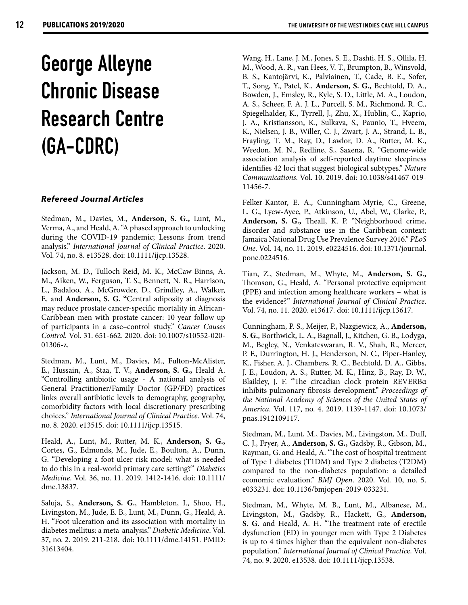### **George Alleyne Chronic Disease Research Centre (GA-CDRC)**

### *Refereed Journal Articles*

Stedman, M., Davies, M., **Anderson, S. G.,** Lunt, M., Verma, A., and Heald, A. "A phased approach to unlocking during the COVID-19 pandemic; Lessons from trend analysis." *International Journal of Clinical Practice*. 2020. Vol. 74, no. 8. e13528. doi: 10.1111/ijcp.13528.

Jackson, M. D., Tulloch-Reid, M. K., McCaw-Binns, A. M., Aiken, W., Ferguson, T. S., Bennett, N. R., Harrison, L., Badaloo, A., McGrowder, D., Grindley, A., Walker, E. and **Anderson, S. G. "**Central adiposity at diagnosis may reduce prostate cancer-specific mortality in African-Caribbean men with prostate cancer: 10-year follow-up of participants in a case–control study." *Cancer Causes Control.* Vol. 31. 651-662. 2020. doi: 10.1007/s10552-020- 01306-z.

Stedman, M., Lunt, M., Davies, M., Fulton-McAlister, E., Hussain, A., Staa, T. V., **Anderson, S. G.,** Heald A. "Controlling antibiotic usage - A national analysis of General Practitioner/Family Doctor (GP/FD) practices links overall antibiotic levels to demography, geography, comorbidity factors with local discretionary prescribing choices." *International Journal of Clinical Practice*. Vol. 74, no. 8. 2020. e13515. doi: 10.1111/ijcp.13515.

Heald, A., Lunt, M., Rutter, M. K., **Anderson, S. G.,** Cortes, G., Edmonds, M., Jude, E., Boulton, A., Dunn, G. "Developing a foot ulcer risk model: what is needed to do this in a real‐world primary care setting?" *Diabetics Medicine*. Vol. 36, no. 11. 2019. 1412-1416. doi: 10.1111/ dme.13837.

Saluja, S., **Anderson, S. G.**, Hambleton, I., Shoo, H., Livingston, M., Jude, E. B., Lunt, M., Dunn, G., Heald, A. H. "Foot ulceration and its association with mortality in diabetes mellitus: a meta-analysis." *Diabetic Medicine*. Vol. 37, no. 2. 2019. 211-218. doi: 10.1111/dme.14151. PMID: 31613404.

Wang, H., Lane, J. M., Jones, S. E., Dashti, H. S., Ollila, H. M., Wood, A. R., van Hees, V. T., Brumpton, B., Winsvold, B. S., Kantojärvi, K., Palviainen, T., Cade, B. E., Sofer, T., Song, Y., Patel, K., **Anderson, S. G.,** Bechtold, D. A., Bowden, J., Emsley, R., Kyle, S. D., Little, M. A., Loudon, A. S., Scheer, F. A. J. L., Purcell, S. M., Richmond, R. C., Spiegelhalder, K., Tyrrell, J., Zhu, X., Hublin, C., Kaprio, J. A., Kristiansson, K., Sulkava, S., Paunio, T., Hveem, K., Nielsen, J. B., Willer, C. J., Zwart, J. A., Strand, L. B., Frayling, T. M., Ray, D., Lawlor, D. A., Rutter, M. K., Weedon, M. N., Redline, S., Saxena, R. "Genome-wide association analysis of self-reported daytime sleepiness identifies 42 loci that suggest biological subtypes." *Nature Communications*. Vol. 10. 2019. doi: 10.1038/s41467-019- 11456-7.

Felker-Kantor, E. A., Cunningham-Myrie, C., Greene, L. G., Lyew-Ayee, P., Atkinson, U., Abel, W., Clarke, P., **Anderson, S. G.,** Theall, K. P. "Neighborhood crime, disorder and substance use in the Caribbean context: Jamaica National Drug Use Prevalence Survey 2016." *PLoS One*. Vol. 14, no. 11. 2019. e0224516. doi: 10.1371/journal. pone.0224516.

Tian, Z., Stedman, M., Whyte, M., **Anderson, S. G.,** Thomson, G., Heald, A. "Personal protective equipment (PPE) and infection among healthcare workers – what is the evidence?" *International Journal of Clinical Practice*. Vol. 74, no. 11. 2020. e13617. doi: 10.1111/ijcp.13617.

Cunningham, P. S., Meijer, P., Nazgiewicz, A., **Anderson, S. G.**, Borthwick, L. A., Bagnall, J., Kitchen, G. B., Lodyga, M., Begley, N., Venkateswaran, R. V., Shah, R., Mercer, P. F., Durrington, H. J., Henderson, N. C., Piper-Hanley, K., Fisher, A. J., Chambers, R. C., Bechtold, D. A., Gibbs, J. E., Loudon, A. S., Rutter, M. K., Hinz, B., Ray, D. W., Blaikley, J. F. "The circadian clock protein REVERBα inhibits pulmonary fibrosis development." *Proceedings of the National Academy of Sciences of the United States of America*. Vol. 117, no. 4. 2019. 1139-1147. doi: 10.1073/ pnas.1912109117.

Stedman, M., Lunt, M., Davies, M., Livingston, M., Duff, C. J., Fryer, A., **Anderson, S. G.,** Gadsby, R., Gibson, M., Rayman, G. and Heald, A. "The cost of hospital treatment of Type 1 diabetes (T1DM) and Type 2 diabetes (T2DM) compared to the non-diabetes population: a detailed economic evaluation." *BMJ Open*. 2020. Vol. 10, no. 5. e033231. doi: 10.1136/bmjopen-2019-033231.

Stedman, M., Whyte, M. B., Lunt, M., Albanese, M., Livingston, M., Gadsby, R., Hackett, G., **Anderson, S. G.** and Heald, A. H. "The treatment rate of erectile dysfunction (ED) in younger men with Type 2 Diabetes is up to 4 times higher than the equivalent non-diabetes population." *International Journal of Clinical Practic*e. Vol. 74, no. 9. 2020. e13538. doi: 10.1111/ijcp.13538.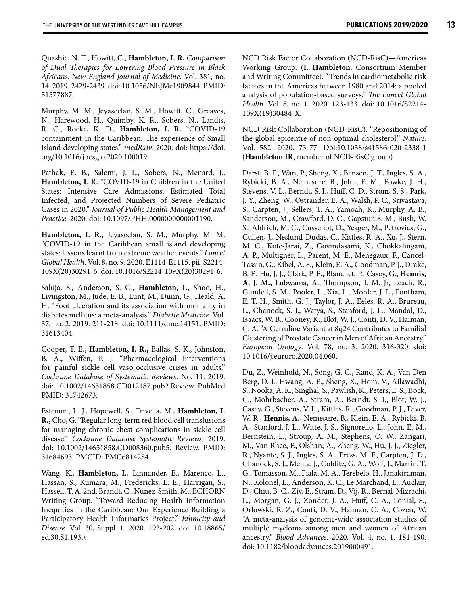Quashie, N. T., Howitt, C., **Hambleton, I. R.** *Comparison of Dual Therapies for Lowering Blood Pressure in Black Africans*. *New England Journal of Medicine*. Vol. 381, no. 14. 2019. 2429-2439. doi: 10.1056/NEJMc1909844. PMID: 31577887.

Murphy, M. M., Jeyaseelan, S. M., Howitt, C., Greaves, N., Harewood, H., Quimby, K. R., Sobers, N., Landis, R. C., Rocke, K. D., **Hambleton, I. R.** "COVID-19 containment in the Caribbean: The experience of Small Island developing states." *medRxiv*. 2020. doi: https://doi. org/10.1016/j.resglo.2020.100019.

Pathak, E. B., Salemi, J. L., Sobers, N., Menard, J., **Hambleton, I. R.** "COVID-19 in Children in the United States: Intensive Care Admissions, Estimated Total Infected, and Projected Numbers of Severe Pediatric Cases in 2020." *Journal of Public Health Management and Practice.* 2020. doi: 10.1097/PHH.0000000000001190.

**Hambleton, I. R.**, Jeyaseelan, S. M., Murphy, M. M. "COVID-19 in the Caribbean small island developing states: lessons learnt from extreme weather events." *Lancet Global Health*. Vol. 8, no. 9. 2020. E1114-E1115. pii: S2214- 109X(20)30291-6. doi: 10.1016/S2214-109X(20)30291-6.

Saluja, S., Anderson, S. G., **Hambleton, I.,** Shoo, H., Livingston, M., Jude, E. B., Lunt, M., Dunn, G., Heald, A. H. "Foot ulceration and its association with mortality in diabetes mellitus: a meta-analysis." *Diabetic Medicine*. Vol. 37, no. 2. 2019. 211-218. doi: 10.1111/dme.14151. PMID: 31613404.

Cooper, T. E., **Hambleton, I. R.,** Ballas, S. K., Johnston, B. A., Wiffen, P. J. "Pharmacological interventions for painful sickle cell vaso-occlusive crises in adults." *Cochrane Database of Systematic Reviews*. No. 11. 2019. doi: 10.1002/14651858.CD012187.pub2.Review. PubMed PMID: 31742673.

Estcourt, L. J., Hopewell, S., Trivella, M., **Hambleton, I. R.,** Cho, G. "Regular long-term red blood cell transfusions for managing chronic chest complications in sickle cell disease." *Cochrane Database Systematic Reviews*. 2019. doi: 10.1002/14651858.CD008360.pub5. Review. PMID: 31684693. PMCID: PMC6814284.

Wang, K., **Hambleton, I.**, Linnander, E., Marenco, L., Hassan, S., Kumara, M., Fredericks, L. E., Harrigan, S., Hassell, T. A. 2nd, Brandt, C., Nunez-Smith, M.; ECHORN Writing Group. "Toward Reducing Health Information Inequities in the Caribbean: Our Experience Building a Participatory Health Informatics Project." *Ethnicity and Disease*. Vol. 30, Suppl. 1. 2020. 193-202. doi: 10.18865/ ed.30.S1.193.\

NCD Risk Factor Collaboration (NCD-RisC)—Americas Working Group. (**I. Hambleton**, Consortium Member and Writing Committee). "Trends in cardiometabolic risk factors in the Americas between 1980 and 2014: a pooled analysis of population-based surveys." *The Lancet Global Health*. Vol. 8, no. 1. 2020. 123-133. doi: 10.1016/S2214- 109X(19)30484-X.

NCD Risk Collaboration (NCD-RisC). "Repositioning of the global epicentre of non-optimal cholesterol." *Nature*. Vol. 582. 2020. 73-77. Doi:10.1038/s41586-020-2338-1 (**Hambleton IR**, member of NCD-RisC group).

Darst, B. F., Wan, P., Sheng, X., Bensen, J. T., Ingles, S. A., Rybicki, B. A., Nemesure, B., John, E. M., Fowke, J. H., Stevens, V. L., Berndt, S. I., Huff, C. D., Strom, S. S., Park, J. Y., Zheng, W., Ostrander, E. A., Walsh, P. C., Srivastava, S., Carpten, J., Sellers, T. A., Yamoah, K., Murphy, A. B., Sanderson, M., Crawford, D. C., Gapstur, S. M., Bush, W. S., Aldrich, M. C., Cussenot, O., Yeager, M., Petrovics, G., Cullen, J., Neslund-Dudas, C., Kittles, R. A., Xu, J., Stern, M. C., Kote-Jarai, Z., Govindasami, K., Chokkalingam, A. P., Multigner, L., Parent, M. E., Menegaux, F., Cancel-Tassin, G., Kibel, A. S., Klein, E. A., Goodman, P. J., Drake, B. F., Hu, J. J., Clark, P. E., Blanchet, P., Casey, G., **Hennis, A. J. M.,** Lubwama, A., Thompson, I. M. Jr, Leach, R., Gundell, S. M., Pooler, L., Xia, L., Mohler, J. L., Fontham, E. T. H., Smith, G. J., Taylor, J. A., Eeles, R. A., Brureau, L., Chanock, S. J., Watya, S., Stanford, J. L., Mandal, D., Isaacs, W. B., Cooney, K., Blot, W. J., Conti, D. V., Haiman, C. A. "A Germline Variant at 8q24 Contributes to Familial Clustering of Prostate Cancer in Men of African Ancestry." *European Urology*. Vol. 78, no. 3. 2020. 316-320. doi: 10.1016/j.eururo.2020.04.060.

Du, Z., Weinhold, N., Song, G. C., Rand, K. A., Van Den Berg, D. J., Hwang, A. E., Sheng, X., Hom, V., Ailawadhi, S., Nooka, A. K., Singhal, S., Pawlish, K., Peters, E. S., Bock, C., Mohrbacher, A., Stram, A., Berndt, S. I., Blot, W. J., Casey, G., Stevens, V. L., Kittles, R., Goodman, P. J., Diver, W. R., **Hennis, A.**, Nemesure, B., Klein, E. A., Rybicki, B. A., Stanford, J. L., Witte, J. S., Signorello, L., John, E. M., Bernstein, L., Stroup, A. M., Stephens, O. W., Zangari, M., Van Rhee, F., Olshan, A., Zheng, W., Hu, J. J., Ziegler, R., Nyante, S. J., Ingles, S. A., Press, M. F., Carpten, J. D., Chanock, S. J., Mehta, J., Colditz, G. A., Wolf, J., Martin, T. G., Tomasson, M., Fiala, M. A., Terebelo, H., Janakiraman, N., Kolonel, L., Anderson, K. C., Le Marchand, L., Auclair, D., Chiu, B. C., Ziv, E., Stram, D., Vij, R., Bernal-Mizrachi, L., Morgan, G. J., Zonder, J. A., Huff, C. A., Lonial, S., Orlowski, R. Z., Conti, D. V., Haiman, C. A., Cozen, W. "A meta-analysis of genome-wide association studies of multiple myeloma among men and women of African ancestry." *Blood Advances*. 2020. Vol. 4, no. 1. 181-190. doi: 10.1182/bloodadvances.2019000491.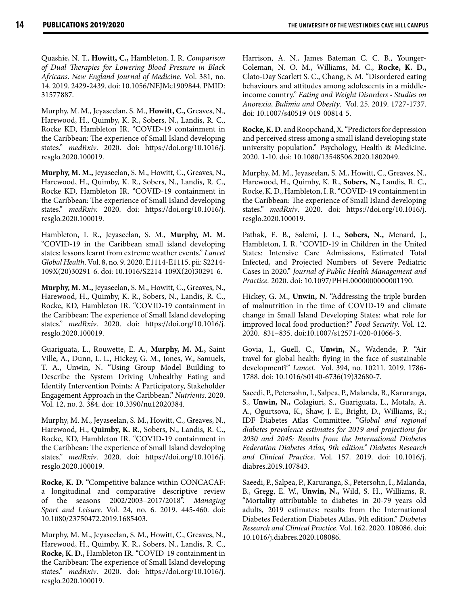Quashie, N. T., **Howitt, C.,** Hambleton, I. R. *Comparison of Dual Therapies for Lowering Blood Pressure in Black Africans*. *New England Journal of Medicine*. Vol. 381, no. 14. 2019. 2429-2439. doi: 10.1056/NEJMc1909844. PMID: 31577887.

Murphy, M. M., Jeyaseelan, S. M., **Howitt, C.,** Greaves, N., Harewood, H., Quimby, K. R., Sobers, N., Landis, R. C., Rocke KD, Hambleton IR. "COVID-19 containment in the Caribbean: The experience of Small Island developing states." *medRxiv*. 2020. doi: https://doi.org/10.1016/j. resglo.2020.100019.

**Murphy, M. M.,** Jeyaseelan, S. M., Howitt, C., Greaves, N., Harewood, H., Quimby, K. R., Sobers, N., Landis, R. C., Rocke KD, Hambleton IR. "COVID-19 containment in the Caribbean: The experience of Small Island developing states." *medRxiv.* 2020. doi: https://doi.org/10.1016/j. resglo.2020.100019.

Hambleton, I. R., Jeyaseelan, S. M., **Murphy, M. M.** "COVID-19 in the Caribbean small island developing states: lessons learnt from extreme weather events." *Lancet Global Health*. Vol. 8, no. 9. 2020. E1114-E1115. pii: S2214- 109X(20)30291-6. doi: 10.1016/S2214-109X(20)30291-6.

**Murphy, M. M.,** Jeyaseelan, S. M., Howitt, C., Greaves, N., Harewood, H., Quimby, K. R., Sobers, N., Landis, R. C., Rocke, KD, Hambleton IR. "COVID-19 containment in the Caribbean: The experience of Small Island developing states." *medRxiv*. 2020. doi: https://doi.org/10.1016/j. resglo.2020.100019.

Guariguata, L., Rouwette, E. A., **Murphy, M. M.,** Saint Ville, A., Dunn, L. L., Hickey, G. M., Jones, W., Samuels, T. A., Unwin, N. "Using Group Model Building to Describe the System Driving Unhealthy Eating and Identify Intervention Points: A Participatory, Stakeholder Engagement Approach in the Caribbean." *Nutrients*. 2020. Vol. 12, no. 2. 384. doi: 10.3390/nu12020384.

Murphy, M. M., Jeyaseelan, S. M., Howitt, C., Greaves, N., Harewood, H., **Quimby, K. R.**, Sobers, N., Landis, R. C., Rocke, KD, Hambleton IR. "COVID-19 containment in the Caribbean: The experience of Small Island developing states." *medRxiv*. 2020. doi: https://doi.org/10.1016/j. resglo.2020.100019.

**Rocke, K. D.** "Competitive balance within CONCACAF: a longitudinal and comparative descriptive review of the seasons 2002/2003–2017/2018". *Managing Sport and Leisure*. Vol. 24, no. 6. 2019. 445-460. doi: 10.1080/23750472.2019.1685403.

Murphy, M. M., Jeyaseelan, S. M., Howitt, C., Greaves, N., Harewood, H., Quimby, K. R., Sobers, N., Landis, R. C., **Rocke, K. D.,** Hambleton IR. "COVID-19 containment in the Caribbean: The experience of Small Island developing states." *medRxiv*. 2020. doi: https://doi.org/10.1016/j. resglo.2020.100019.

Harrison, A. N., James Bateman C. C. B., Younger-Coleman, N. O. M., Williams, M. C., **Rocke, K. D.,** Clato-Day Scarlett S. C., Chang, S. M. "Disordered eating behaviours and attitudes among adolescents in a middleincome country." *Eating and Weight Disorders - Studies on Anorexia, Bulimia and Obesity*. Vol. 25. 2019. 1727-1737. doi: 10.1007/s40519-019-00814-5.

**Rocke, K. D.** and Roopchand, X. "Predictors for depression and perceived stress among a small island developing state university population." Psychology, Health & Medicine. 2020. 1-10. doi: 10.1080/13548506.2020.1802049.

Murphy, M. M., Jeyaseelan, S. M., Howitt, C., Greaves, N., Harewood, H., Quimby, K. R., **Sobers, N.,** Landis, R. C., Rocke, K. D., Hambleton, I. R. "COVID-19 containment in the Caribbean: The experience of Small Island developing states." *medRxiv*. 2020. doi: https://doi.org/10.1016/j. resglo.2020.100019.

Pathak, E. B., Salemi, J. L., **Sobers, N.,** Menard, J., Hambleton, I. R. "COVID-19 in Children in the United States: Intensive Care Admissions, Estimated Total Infected, and Projected Numbers of Severe Pediatric Cases in 2020." *Journal of Public Health Management and Practice.* 2020. doi: 10.1097/PHH.0000000000001190.

Hickey, G. M., **Unwin, N**. "Addressing the triple burden of malnutrition in the time of COVID-19 and climate change in Small Island Developing States: what role for improved local food production?" *Food Security*. Vol. 12. 2020. 831–835. doi:10.1007/s12571-020-01066-3.

Govia, I., Guell, C., **Unwin, N.,** Wadende, P. "Air travel for global health: flying in the face of sustainable development?" *Lancet*. Vol. 394, no. 10211. 2019. 1786- 1788. doi: 10.1016/S0140-6736(19)32680-7.

Saeedi, P., Petersohn, I., Salpea, P., Malanda, B., Karuranga, S., **Unwin, N.,** Colagiuri, S., Guariguata, L., Motala, A. A., Ogurtsova, K., Shaw, J. E., Bright, D., Williams, R.; IDF Diabetes Atlas Committee. "*Global and regional diabetes prevalence estimates for 2019 and projections for 2030 and 2045: Results from the International Diabetes Federation Diabetes Atlas, 9th edition." Diabetes Research and Clinical Practice*. Vol. 157. 2019. doi: 10.1016/j. diabres.2019.107843.

Saeedi, P., Salpea, P., Karuranga, S., Petersohn, I., Malanda, B., Gregg, E. W., **Unwin, N.,** Wild, S. H., Williams, R. "Mortality attributable to diabetes in 20-79 years old adults, 2019 estimates: results from the International Diabetes Federation Diabetes Atlas, 9th edition." *Diabetes Research and Clinical Practice*. Vol. 162. 2020. 108086. doi: 10.1016/j.diabres.2020.108086.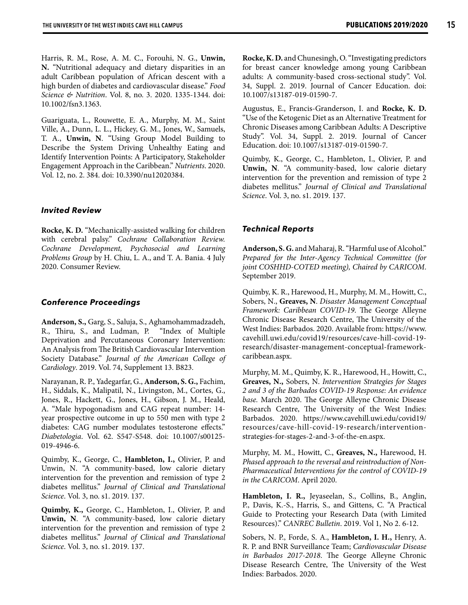Harris, R. M., Rose, A. M. C., Forouhi, N. G., **Unwin, N.** "Nutritional adequacy and dietary disparities in an adult Caribbean population of African descent with a high burden of diabetes and cardiovascular disease." *Food Science & Nutrition*. Vol. 8, no. 3. 2020. 1335-1344. doi: 10.1002/fsn3.1363.

Guariguata, L., Rouwette, E. A., Murphy, M. M., Saint Ville, A., Dunn, L. L., Hickey, G. M., Jones, W., Samuels, T. A., **Unwin, N**. "Using Group Model Building to Describe the System Driving Unhealthy Eating and Identify Intervention Points: A Participatory, Stakeholder Engagement Approach in the Caribbean." *Nutrients*. 2020. Vol. 12, no. 2. 384. doi: 10.3390/nu12020384.

### *Invited Review*

**Rocke, K. D.** "Mechanically-assisted walking for children with cerebral palsy." *Cochrane Collaboration Review. Cochrane Development, Psychosocial and Learning Problems Group* by H. Chiu, L. A., and T. A. Bania. 4 July 2020. Consumer Review.

### *Conference Proceedings*

**Anderson, S.,** Garg, S., Saluja, S., Aghamohammadzadeh, R., Thiru, S., and Ludman, P. "Index of Multiple Deprivation and Percutaneous Coronary Intervention: An Analysis from The British Cardiovascular Intervention Society Database." *Journal of the American College of Cardiology*. 2019. Vol. 74, Supplement 13. B823.

Narayanan, R. P., Yadegarfar, G., **Anderson, S. G.,** Fachim, H., Siddals, K., Malipatil, N., Livingston, M., Cortes, G., Jones, R., Hackett, G., Jones, H., Gibson, J. M., Heald, A. "Male hypogonadism and CAG repeat number: 14 year prospective outcome in up to 550 men with type 2 diabetes: CAG number modulates testosterone effects." *Diabetologia*. Vol. 62. S547-S548. doi: 10.1007/s00125- 019-4946-6.

Quimby, K., George, C., **Hambleton, I.,** Olivier, P. and Unwin, N. "A community-based, low calorie dietary intervention for the prevention and remission of type 2 diabetes mellitus." *Journal of Clinical and Translational Science*. Vol. 3, no. s1. 2019. 137.

**Quimby, K.,** George, C., Hambleton, I., Olivier, P. and **Unwin, N**. "A community-based, low calorie dietary intervention for the prevention and remission of type 2 diabetes mellitus." *Journal of Clinical and Translational Science*. Vol. 3, no. s1. 2019. 137.

**Rocke, K. D.** and Chunesingh, O. "Investigating predictors for breast cancer knowledge among young Caribbean adults: A community-based cross-sectional study". Vol. 34, Suppl. 2. 2019. Journal of Cancer Education. doi: 10.1007/s13187-019-01590-7.

Augustus, E., Francis-Granderson, I. and **Rocke, K. D.** "Use of the Ketogenic Diet as an Alternative Treatment for Chronic Diseases among Caribbean Adults: A Descriptive Study". Vol. 34, Suppl. 2. 2019. Journal of Cancer Education. doi: 10.1007/s13187-019-01590-7.

Quimby, K., George, C., Hambleton, I., Olivier, P. and **Unwin, N**. "A community-based, low calorie dietary intervention for the prevention and remission of type 2 diabetes mellitus." *Journal of Clinical and Translational Science*. Vol. 3, no. s1. 2019. 137.

#### *Technical Reports*

**Anderson, S. G.** and Maharaj, R. "Harmful use of Alcohol." *Prepared for the Inter-Agency Technical Committee (for joint COSHHD-COTED meeting), Chaired by CARICOM*. September 2019.

Quimby, K. R., Harewood, H., Murphy, M. M., Howitt, C., Sobers, N., **Greaves, N**. *Disaster Management Conceptual Framework: Caribbean COVID-19*. The George Alleyne Chronic Disease Research Centre, The University of the West Indies: Barbados. 2020. Available from: https://www. cavehill.uwi.edu/covid19/resources/cave-hill-covid-19 research/disaster-management-conceptual-frameworkcaribbean.aspx.

Murphy, M. M., Quimby, K. R., Harewood, H., Howitt, C., **Greaves, N.,** Sobers, N. *Intervention Strategies for Stages 2 and 3 of the Barbados COVID-19 Response: An evidence base.* March 2020. The George Alleyne Chronic Disease Research Centre, The University of the West Indies: Barbados. 2020. https://www.cavehill.uwi.edu/covid19/ resources/cave-hill-covid-19-research/interventionstrategies-for-stages-2-and-3-of-the-en.aspx.

Murphy, M. M., Howitt, C., **Greaves, N.,** Harewood, H. *Phased approach to the reversal and reintroduction of Non-Pharmaceutical Interventions for the control of COVID-19 in the CARICOM*. April 2020.

**Hambleton, I. R.,** Jeyaseelan, S., Collins, B., Anglin, P., Davis, K.-S., Harris, S., and Gittens, C. "A Practical Guide to Protecting your Research Data (with Limited Resources)." *CANREC Bulletin*. 2019. Vol 1, No 2. 6-12.

Sobers, N. P., Forde, S. A., **Hambleton, I. H.,** Henry, A. R. P. and BNR Surveillance Team; *Cardiovascular Disease in Barbados 2017-2018*. The George Alleyne Chronic Disease Research Centre, The University of the West Indies: Barbados. 2020.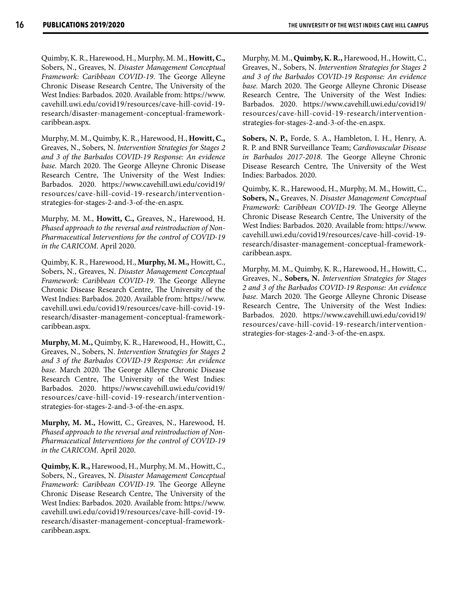Quimby, K. R., Harewood, H., Murphy, M. M., **Howitt, C.,** Sobers, N., Greaves, N. *Disaster Management Conceptual Framework: Caribbean COVID-19*. The George Alleyne Chronic Disease Research Centre, The University of the West Indies: Barbados. 2020. Available from: https://www. cavehill.uwi.edu/covid19/resources/cave-hill-covid-19 research/disaster-management-conceptual-frameworkcaribbean.aspx.

Murphy, M. M., Quimby, K. R., Harewood, H., **Howitt, C.,** Greaves, N., Sobers, N. *Intervention Strategies for Stages 2 and 3 of the Barbados COVID-19 Response: An evidence base.* March 2020. The George Alleyne Chronic Disease Research Centre, The University of the West Indies: Barbados. 2020. https://www.cavehill.uwi.edu/covid19/ resources/cave-hill-covid-19-research/interventionstrategies-for-stages-2-and-3-of-the-en.aspx.

Murphy, M. M., **Howitt, C.,** Greaves, N., Harewood, H. *Phased approach to the reversal and reintroduction of Non-Pharmaceutical Interventions for the control of COVID-19 in the CARICOM*. April 2020.

Quimby, K. R., Harewood, H., **Murphy, M. M.,** Howitt, C., Sobers, N., Greaves, N. *Disaster Management Conceptual Framework: Caribbean COVID-19*. The George Alleyne Chronic Disease Research Centre, The University of the West Indies: Barbados. 2020. Available from: https://www. cavehill.uwi.edu/covid19/resources/cave-hill-covid-19 research/disaster-management-conceptual-frameworkcaribbean.aspx.

**Murphy, M. M.,** Quimby, K. R., Harewood, H., Howitt, C., Greaves, N., Sobers, N. *Intervention Strategies for Stages 2 and 3 of the Barbados COVID-19 Response: An evidence base.* March 2020. The George Alleyne Chronic Disease Research Centre, The University of the West Indies: Barbados. 2020. https://www.cavehill.uwi.edu/covid19/ resources/cave-hill-covid-19-research/interventionstrategies-for-stages-2-and-3-of-the-en.aspx.

**Murphy, M. M.,** Howitt, C., Greaves, N., Harewood, H. *Phased approach to the reversal and reintroduction of Non-Pharmaceutical Interventions for the control of COVID-19 in the CARICOM*. April 2020.

**Quimby, K. R.,** Harewood, H., Murphy, M. M., Howitt, C., Sobers, N., Greaves, N. *Disaster Management Conceptual Framework: Caribbean COVID-19*. The George Alleyne Chronic Disease Research Centre, The University of the West Indies: Barbados. 2020. Available from: https://www. cavehill.uwi.edu/covid19/resources/cave-hill-covid-19 research/disaster-management-conceptual-frameworkcaribbean.aspx.

Murphy, M. M., **Quimby, K. R.,** Harewood, H., Howitt, C., Greaves, N., Sobers, N. *Intervention Strategies for Stages 2 and 3 of the Barbados COVID-19 Response: An evidence base.* March 2020. The George Alleyne Chronic Disease Research Centre, The University of the West Indies: Barbados. 2020. https://www.cavehill.uwi.edu/covid19/ resources/cave-hill-covid-19-research/interventionstrategies-for-stages-2-and-3-of-the-en.aspx.

**Sobers, N. P.,** Forde, S. A., Hambleton, I. H., Henry, A. R. P. and BNR Surveillance Team; *Cardiovascular Disease in Barbados 2017-2018*. The George Alleyne Chronic Disease Research Centre, The University of the West Indies: Barbados. 2020.

Quimby, K. R., Harewood, H., Murphy, M. M., Howitt, C., **Sobers, N.,** Greaves, N. *Disaster Management Conceptual Framework: Caribbean COVID-19*. The George Alleyne Chronic Disease Research Centre, The University of the West Indies: Barbados. 2020. Available from: https://www. cavehill.uwi.edu/covid19/resources/cave-hill-covid-19 research/disaster-management-conceptual-frameworkcaribbean.aspx.

Murphy, M. M., Quimby, K. R., Harewood, H., Howitt, C., Greaves, N., **Sobers, N.** *Intervention Strategies for Stages 2 and 3 of the Barbados COVID-19 Response: An evidence base.* March 2020. The George Alleyne Chronic Disease Research Centre, The University of the West Indies: Barbados. 2020. https://www.cavehill.uwi.edu/covid19/ resources/cave-hill-covid-19-research/interventionstrategies-for-stages-2-and-3-of-the-en.aspx.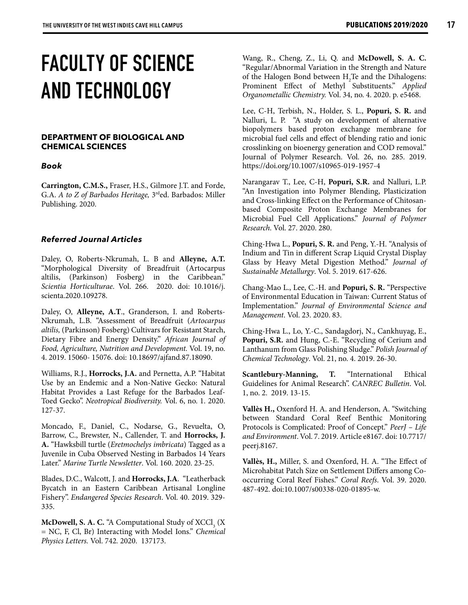### **FACULTY OF SCIENCE AND TECHNOLOGY**

### **DEPARTMENT OF BIOLOGICAL AND CHEMICAL SCIENCES**

### *Book*

**Carrington, C.M.S.,** Fraser, H.S., Gilmore J.T. and Forde, G.A. *A to Z of Barbados Heritage,* 3rded. Barbados: Miller Publishing. 2020.

### *Referred Journal Articles*

Daley, O, Roberts-Nkrumah, L. B and **Alleyne, A.T.** "Morphological Diversity of Breadfruit (Artocarpus altilis, (Parkinson) Fosberg) in the Caribbean." *Scientia Horticulturae*. Vol. 266. 2020. doi: 10.1016/j. scienta.2020.109278.

Daley, O, **Alleyne, A.T**., Granderson, I. and Roberts-Nkrumah, L.B. "Assessment of Breadfruit (*Artocarpus altilis,* (Parkinson) Fosberg) Cultivars for Resistant Starch, Dietary Fibre and Energy Density." *African Journal of Food, Agriculture, Nutrition and Development.* Vol. 19, no. 4. 2019. 15060- 15076. doi: 10.18697/ajfand.87.18090.

Williams, R.J., **Horrocks, J.A.** and Pernetta, A.P. "Habitat Use by an Endemic and a Non-Native Gecko: Natural Habitat Provides a Last Refuge for the Barbados Leaf-Toed Gecko". *Neotropical Biodiversity.* Vol. 6, no. 1. 2020. 127-37.

Moncado, F., Daniel, C., Nodarse, G., Revuelta, O, Barrow, C., Brewster, N., Callender, T. and **Horrocks, J. A.** "Hawksbill turtle (*Eretmochelys imbricata*) Tagged as a Juvenile in Cuba Observed Nesting in Barbados 14 Years Later." *Marine Turtle Newsletter*. Vol. 160. 2020. 23-25.

Blades, D.C., Walcott, J. and **Horrocks, J.A**. "Leatherback Bycatch in an Eastern Caribbean Artisanal Longline Fishery". *Endangered Species Research*. Vol. 40. 2019. 329- 335.

**McDowell, S. A. C.** "A Computational Study of XCCl<sub>3</sub> (X) = NC, F, Cl, Br) Interacting with Model Ions." *Chemical Physics Letters.* Vol. 742*.* 2020. 137173.

Wang, R., Cheng, Z., Li, Q. and **McDowell, S. A. C.** "Regular/Abnormal Variation in the Strength and Nature of the Halogen Bond between  $H_2$ Te and the Dihalogens: Prominent Effect of Methyl Substituents." *Applied Organometallic Chemistry.* Vol. 34, no. 4. 2020. p. e5468.

Lee, C-H, Terbish, N., Holder, S. L., **Popuri, S. R.** and Nalluri, L. P. "A study on development of alternative biopolymers based proton exchange membrane for microbial fuel cells and effect of blending ratio and ionic crosslinking on bioenergy generation and COD removal." Journal of Polymer Research. Vol. 26, no. 285. 2019. https://doi.org/10.1007/s10965-019-1957-4

Narangarav T., Lee, C-H, **Popuri, S.R.** and Nalluri, L.P. "An Investigation into Polymer Blending, Plasticization and Cross-linking Effect on the Performance of Chitosanbased Composite Proton Exchange Membranes for Microbial Fuel Cell Applications." *Journal of Polymer Research*. Vol. 27. 2020. 280.

Ching-Hwa L., **Popuri, S. R.** and Peng, Y.-H. "Analysis of Indium and Tin in different Scrap Liquid Crystal Display Glass by Heavy Metal Digestion Method." *Journal of Sustainable Metallurgy*. Vol. 5. 2019. 617-626.

Chang-Mao L., Lee, C.-H. and **Popuri, S. R.** "Perspective of Environmental Education in Taiwan: Current Status of Implementation." *Journal of Environmental Science and Management*. Vol. 23. 2020. 83.

Ching-Hwa L., Lo, Y.-C., Sandagdorj, N., Cankhuyag, E., **Popuri, S.R.** and Hung, C.-E. "Recycling of Cerium and Lanthanum from Glass Polishing Sludge." *Polish Journal of Chemical Technology*. Vol. 21, no. 4. 2019. 26-30.

**Scantlebury-Manning, T.** "International Ethical Guidelines for Animal Research". *CANREC Bulletin*. Vol. 1, no. 2. 2019. 13-15.

**Vallès H.,** Oxenford H. A. and Henderson, A. "Switching between Standard Coral Reef Benthic Monitoring Protocols is Complicated: Proof of Concept." *PeerJ – Life and Environment*. Vol. 7. 2019. Article e8167. doi: 10.7717/ peerj.8167.

**Vallès, H.,** Miller, S. and Oxenford, H. A. "The Effect of Microhabitat Patch Size on Settlement Differs among Cooccurring Coral Reef Fishes." *Coral Reefs*. Vol. 39. 2020. 487-492. doi:10.1007/s00338-020-01895-w.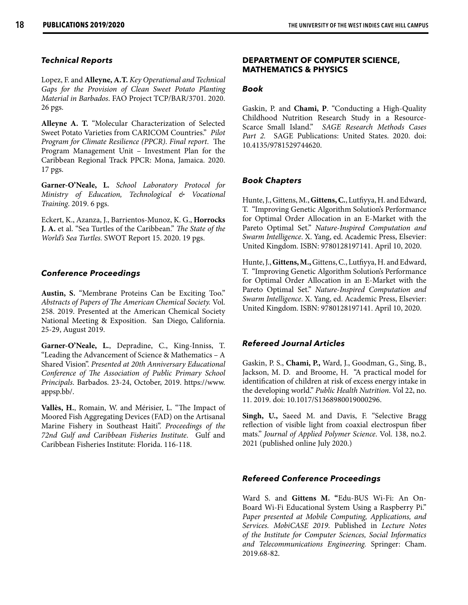### *Technical Reports*

Lopez, F. and **Alleyne, A.T.** *Key Operational and Technical Gaps for the Provision of Clean Sweet Potato Planting Material in Barbados*. FAO Project TCP/BAR/3701. 2020. 26 pgs.

**Alleyne A. T.** "Molecular Characterization of Selected Sweet Potato Varieties from CARICOM Countries." *Pilot Program for Climate Resilience (PPCR)*. *Final report*. The Program Management Unit – Investment Plan for the Caribbean Regional Track PPCR: Mona, Jamaica. 2020. 17 pgs.

**Garner-O'Neale, L.** *School Laboratory Protocol for Ministry of Education, Technological & Vocational Training*. 2019. 6 pgs.

Eckert, K., Azanza, J., Barrientos-Munoz, K. G., **Horrocks J. A.** et al. "Sea Turtles of the Caribbean." *The State of the World's Sea Turtles.* SWOT Report 15. 2020. 19 pgs.

### *Conference Proceedings*

**Austin, S.** "Membrane Proteins Can be Exciting Too." *Abstracts of Papers of The American Chemical Society.* Vol. 258. 2019. Presented at the American Chemical Society National Meeting & Exposition. San Diego, California. 25-29, August 2019.

**Garner-O'Neale, L.**, Depradine, C., King-Inniss, T. "Leading the Advancement of Science & Mathematics – A Shared Vision". *Presented at 20th Anniversary Educational Conference of The Association of Public Primary School Principals*. Barbados. 23-24, October, 2019. https://www. appsp.bb/.

**Vallès, H.**, Romain, W. and Mérisier, L. "The Impact of Moored Fish Aggregating Devices (FAD) on the Artisanal Marine Fishery in Southeast Haiti". *Proceedings of the 72nd Gulf and Caribbean Fisheries Institute*. Gulf and Caribbean Fisheries Institute: Florida. 116-118.

### **DEPARTMENT OF COMPUTER SCIENCE, MATHEMATICS & PHYSICS**

### *Book*

Gaskin, P. and **Chami, P**. "Conducting a High-Quality Childhood Nutrition Research Study in a Resource-Scarce Small Island." *SAGE Research Methods Cases*  Part 2. SAGE Publications: United States. 2020. doi: 10.4135/9781529744620.

### *Book Chapters*

Hunte, J., Gittens, M., **Gittens, C.**, Lutfiyya, H. and Edward, T. "Improving Genetic Algorithm Solution's Performance for Optimal Order Allocation in an E-Market with the Pareto Optimal Set." *Nature-Inspired Computation and Swarm Intelligence*. X. Yang, ed. Academic Press, Elsevier: United Kingdom. ISBN: 9780128197141. April 10, 2020.

Hunte, J., **Gittens, M.,** Gittens, C., Lutfiyya, H. and Edward, T. "Improving Genetic Algorithm Solution's Performance for Optimal Order Allocation in an E-Market with the Pareto Optimal Set." *Nature-Inspired Computation and Swarm Intelligence*. X. Yang, ed. Academic Press, Elsevier: United Kingdom. ISBN: 9780128197141. April 10, 2020.

### *Refereed Journal Articles*

Gaskin, P. S., **Chami, P.,** Ward, J., Goodman, G., Sing, B., Jackson, M. D. and Broome, H. "A practical model for identification of children at risk of excess energy intake in the developing world." *Public Health Nutrition*. Vol 22, no. 11. 2019. doi: 10.1017/S1368980019000296.

**Singh, U.,** Saeed M. and Davis, F. "Selective Bragg reflection of visible light from coaxial electrospun fiber mats." *Journal of Applied Polymer Science*. Vol. 138, no.2. 2021 (published online July 2020.)

### *Refereed Conference Proceedings*

Ward S. and **Gittens M. "**Edu-BUS Wi-Fi: An On-Board Wi-Fi Educational System Using a Raspberry Pi." *Paper presented at Mobile Computing, Applications, and Services. MobiCASE 2019*. Published in *Lecture Notes of the Institute for Computer Sciences, Social Informatics and Telecommunications Engineering.* Springer: Cham. 2019.68-82.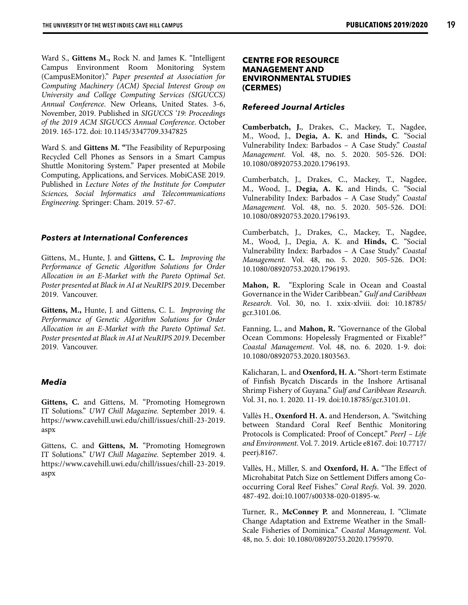Ward S., **Gittens M.,** Rock N. and James K. "Intelligent Campus Environment Room Monitoring System (CampusEMonitor)." *Paper presented at Association for Computing Machinery (ACM) Special Interest Group on University and College Computing Services (SIGUCCS) Annual Conference*. New Orleans, United States. 3-6, November, 2019. Published in *SIGUCCS '19: Proceedings of the 2019 ACM SIGUCCS Annual Conference*. October 2019. 165-172. doi: 10.1145/3347709.3347825

Ward S. and **Gittens M. "**The Feasibility of Repurposing Recycled Cell Phones as Sensors in a Smart Campus Shuttle Monitoring System." Paper presented at Mobile Computing, Applications, and Services. MobiCASE 2019. Published in *Lecture Notes of the Institute for Computer Sciences, Social Informatics and Telecommunications Engineering.* Springer: Cham. 2019. 57-67.

### *Posters at International Conferences*

Gittens, M., Hunte, J. and **Gittens, C. L.** *Improving the Performance of Genetic Algorithm Solutions for Order Allocation in an E-Market with the Pareto Optimal Set*. *Poster presented at Black in AI at NeuRIPS 2019*. December 2019. Vancouver.

**Gittens, M.,** Hunte, J. and Gittens, C. L. *Improving the Performance of Genetic Algorithm Solutions for Order Allocation in an E-Market with the Pareto Optimal Set*. *Poster presented at Black in AI at NeuRIPS 2019*. December 2019. Vancouver.

### *Media*

**Gittens, C.** and Gittens, M. "Promoting Homegrown IT Solutions." *UWI Chill Magazine.* September 2019. 4. https://www.cavehill.uwi.edu/chill/issues/chill-23-2019. aspx

Gittens, C. and **Gittens, M.** "Promoting Homegrown IT Solutions." *UWI Chill Magazine.* September 2019. 4. https://www.cavehill.uwi.edu/chill/issues/chill-23-2019. aspx

### **CENTRE FOR RESOURCE MANAGEMENT AND ENVIRONMENTAL STUDIES (CERMES)**

### *Refereed Journal Articles*

**Cumberbatch, J.**, Drakes, C., Mackey, T., Nagdee, M., Wood, J., **Degia, A. K.** and **Hinds, C**. "Social Vulnerability Index: Barbados – A Case Study." *Coastal Management.* Vol. 48, no. 5. 2020. 505-526. DOI: 10.1080/08920753.2020.1796193.

Cumberbatch, J., Drakes, C., Mackey, T., Nagdee, M., Wood, J., **Degia, A. K.** and Hinds, C. "Social Vulnerability Index: Barbados – A Case Study." *Coastal Management.* Vol. 48, no. 5. 2020. 505-526. DOI: 10.1080/08920753.2020.1796193.

Cumberbatch, J., Drakes, C., Mackey, T., Nagdee, M., Wood, J., Degia, A. K. and **Hinds, C**. "Social Vulnerability Index: Barbados – A Case Study." *Coastal Management.* Vol. 48, no. 5. 2020. 505-526. DOI: 10.1080/08920753.2020.1796193.

**Mahon, R.** "Exploring Scale in Ocean and Coastal Governance in the Wider Caribbean." *Gulf and Caribbean Research*. Vol. 30, no. 1. xxix-xlviii. doi: 10.18785/ gcr.3101.06.

Fanning, L., and **Mahon, R.** "Governance of the Global Ocean Commons: Hopelessly Fragmented or Fixable?" *Coastal Management*. Vol. 48, no. 6. 2020. 1-9. doi: 10.1080/08920753.2020.1803563.

Kalicharan, L. and **Oxenford, H. A.** "Short-term Estimate of Finfish Bycatch Discards in the Inshore Artisanal Shrimp Fishery of Guyana." *Gulf and Caribbean Research*. Vol. 31, no. 1. 2020. 11-19. doi:10.18785/gcr.3101.01.

Vallès H., **Oxenford H. A.** and Henderson, A. "Switching between Standard Coral Reef Benthic Monitoring Protocols is Complicated: Proof of Concept." *PeerJ – Life and Environment*. Vol. 7. 2019. Article e8167. doi: 10.7717/ peerj.8167.

Vallès, H., Miller, S. and **Oxenford, H. A.** "The Effect of Microhabitat Patch Size on Settlement Differs among Cooccurring Coral Reef Fishes." *Coral Reefs*. Vol. 39. 2020. 487-492. doi:10.1007/s00338-020-01895-w.

Turner, R., **McConney P.** and Monnereau, I. "Climate Change Adaptation and Extreme Weather in the Small-Scale Fisheries of Dominica." *Coastal Management*. Vol. 48, no. 5. doi: 10.1080/08920753.2020.1795970.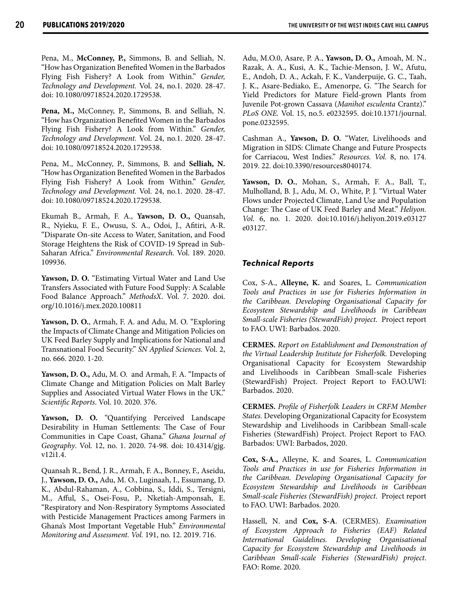**20 PUBLICATIONS 2019/2020 THE UNIVERSITY OF THE WEST INDIES CAVE HILL CAMPUS** 

Pena, M., **McConney, P.,** Simmons, B. and Selliah, N. "How has Organization Benefited Women in the Barbados Flying Fish Fishery? A Look from Within." *Gender, Technology and Development.* Vol. 24, no.1. 2020. 28-47. doi: 10.1080/09718524.2020.1729538.

**Pena, M.,** McConney, P., Simmons, B. and Selliah, N. "How has Organization Benefited Women in the Barbados Flying Fish Fishery? A Look from Within." *Gender, Technology and Development.* Vol. 24, no.1. 2020. 28-47. doi: 10.1080/09718524.2020.1729538.

Pena, M., McConney, P., Simmons, B. and **Selliah, N.** "How has Organization Benefited Women in the Barbados Flying Fish Fishery? A Look from Within." *Gender, Technology and Development.* Vol. 24, no.1. 2020. 28-47. doi: 10.1080/09718524.2020.1729538.

Ekumah B., Armah, F. A., **Yawson, D. O.,** Quansah, R., Nyieku, F. E., Owusu, S. A., Odoi, J., Afitiri, A-R. "Disparate On-site Access to Water, Sanitation, and Food Storage Heightens the Risk of COVID-19 Spread in Sub-Saharan Africa." *Environmental Research.* Vol. 189. 2020. 109936.

**Yawson, D. O.** "Estimating Virtual Water and Land Use Transfers Associated with Future Food Supply: A Scalable Food Balance Approach." *MethodsX*. Vol. 7. 2020. doi. org/10.1016/j.mex.2020.100811

**Yawson, D. O.**, Armah, F. A. and Adu, M. O. "Exploring the Impacts of Climate Change and Mitigation Policies on UK Feed Barley Supply and Implications for National and Transnational Food Security." *SN Applied Sciences.* Vol. 2, no. 666. 2020. 1-20.

**Yawson, D. O.,** Adu, M. O. and Armah, F. A. "Impacts of Climate Change and Mitigation Policies on Malt Barley Supplies and Associated Virtual Water Flows in the UK." *Scientific Reports*. Vol. 10. 2020. 376.

**Yawson, D. O.** "Quantifying Perceived Landscape Desirability in Human Settlements: The Case of Four Communities in Cape Coast, Ghana." *Ghana Journal of Geography*. Vol. 12, no. 1. 2020. 74-98. doi: 10.4314/gjg. v12i1.4.

Quansah R., Bend, J. R., Armah, F. A., Bonney, F., Aseidu, J., **Yawson, D. O.,** Adu, M. O., Luginaah, I., Essumang, D. K., Abdul-Rahaman, A., Cobbina, S., Iddi, S., Tersigni, M., Afful, S., Osei-Fosu, P., Nketiah-Amponsah, E. "Respiratory and Non-Respiratory Symptoms Associated with Pesticide Management Practices among Farmers in Ghana's Most Important Vegetable Hub." *Environmental Monitoring and Assessment. Vol.* 191, no. 12. 2019. 716.

Adu, M.O.0, Asare, P. A., **Yawson, D. O.,** Amoah, M. N., Razak, A. A., Kusi, A. K., Tachie-Menson, J. W., Afutu, E., Andoh, D. A., Ackah, F. K., Vanderpuije, G. C., Taah, J. K., Asare-Bediako, E., Amenorpe, G. "The Search for Yield Predictors for Mature Field-grown Plants from Juvenile Pot-grown Cassava (*Manihot esculenta* Crantz)." *PLoS ONE.* Vol. 15, no.5. e0232595. doi:10.1371/journal. pone.0232595.

Cashman A., **Yawson, D. O.** "Water, Livelihoods and Migration in SIDS: Climate Change and Future Prospects for Carriacou, West Indies." *Resources. Vol.* 8, no. 174. 2019. 22. doi:10.3390/resources8040174.

**Yawson, D. O.**, Mohan, S., Armah, F. A., Ball, T., Mulholland, B. J., Adu, M. O., White, P. J. "Virtual Water Flows under Projected Climate, Land Use and Population Change: The Case of UK Feed Barley and Meat." *Heliyon. Vol.* 6, no. 1. 2020. doi:10.1016/j.heliyon.2019.e03127 e03127.

### *Technical Reports*

Cox, S-A., **Alleyne, K.** and Soares, L. *Communication Tools and Practices in use for Fisheries Information in the Caribbean. Developing Organisational Capacity for Ecosystem Stewardship and Livelihoods in Caribbean Small-scale Fisheries (StewardFish) project*. Project report to FAO. UWI: Barbados. 2020.

**CERMES.** *Report on Establishment and Demonstration of the Virtual Leadership Institute for Fisherfolk.* Developing Organisational Capacity for Ecosystem Stewardship and Livelihoods in Caribbean Small-scale Fisheries (StewardFish) Project. Project Report to FAO.UWI: Barbados. 2020.

**CERMES.** *Profile of Fisherfolk Leaders in CRFM Member States.* Developing Organizational Capacity for Ecosystem Stewardship and Livelihoods in Caribbean Small-scale Fisheries (StewardFish) Project. Project Report to FAO. Barbados: UWI: Barbados, 2020.

**Cox, S-A.,** Alleyne, K. and Soares, L. *Communication Tools and Practices in use for Fisheries Information in the Caribbean. Developing Organisational Capacity for Ecosystem Stewardship and Livelihoods in Caribbean Small-scale Fisheries (StewardFish) project*. Project report to FAO. UWI: Barbados. 2020.

Hassell, N. and **Cox, S-A**. (CERMES). *Examination of Ecosystem Approach to Fisheries (EAF) Related International Guidelines. Developing Organisational Capacity for Ecosystem Stewardship and Livelihoods in Caribbean Small-scale Fisheries (StewardFish) project*. FAO: Rome. 2020.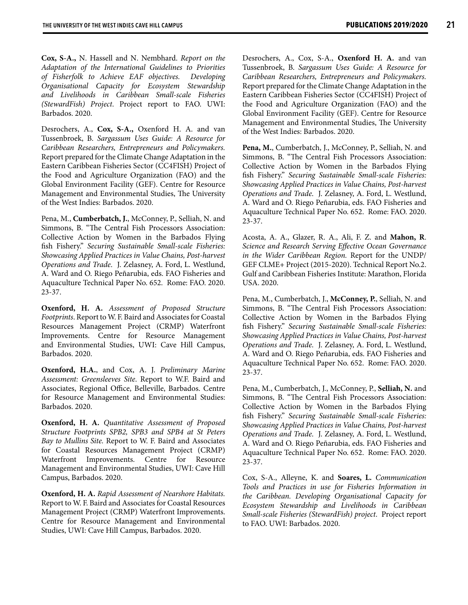**Cox, S-A.,** N. Hassell and N. Nembhard. *Report on the Adaptation of the International Guidelines to Priorities of Fisherfolk to Achieve EAF objectives. Developing Organisational Capacity for Ecosystem Stewardship and Livelihoods in Caribbean Small-scale Fisheries (StewardFish) Project*. Project report to FAO. UWI: Barbados. 2020.

Desrochers, A., **Cox, S-A.,** Oxenford H. A. and van Tussenbroek, B. *Sargassum Uses Guide: A Resource for Caribbean Researchers, Entrepreneurs and Policymakers.* Report prepared for the Climate Change Adaptation in the Eastern Caribbean Fisheries Sector (CC4FISH) Project of the Food and Agriculture Organization (FAO) and the Global Environment Facility (GEF). Centre for Resource Management and Environmental Studies, The University of the West Indies: Barbados. 2020.

Pena, M., **Cumberbatch, J.**, McConney, P., Selliah, N. and Simmons, B. "The Central Fish Processors Association: Collective Action by Women in the Barbados Flying fish Fishery." *Securing Sustainable Small-scale Fisheries: Showcasing Applied Practices in Value Chains, Post-harvest Operations and Trade*. J. Zelasney, A. Ford, L. Westlund, A. Ward and O. Riego Peñarubia, eds. FAO Fisheries and Aquaculture Technical Paper No. 652. Rome: FAO. 2020. 23-37.

**Oxenford, H. A.** *Assessment of Proposed Structure Footprints*. Report to W. F. Baird and Associates for Coastal Resources Management Project (CRMP) Waterfront Improvements. Centre for Resource Management and Environmental Studies, UWI: Cave Hill Campus, Barbados. 2020.

**Oxenford, H.A.**, and Cox, A. J. *Preliminary Marine Assessment: Greensleeves Site*. Report to W.F. Baird and Associates, Regional Office, Belleville, Barbados. Centre for Resource Management and Environmental Studies: Barbados. 2020.

**Oxenford, H. A.** *Quantitative Assessment of Proposed Structure Footprints SPB2, SPB3 and SPB4 at St Peters Bay to Mullins Site.* Report to W. F. Baird and Associates for Coastal Resources Management Project (CRMP) Waterfront Improvements. Centre for Resource Management and Environmental Studies, UWI: Cave Hill Campus, Barbados. 2020.

**Oxenford, H. A.** *Rapid Assessment of Nearshore Habitats.*  Report to W. F. Baird and Associates for Coastal Resources Management Project (CRMP) Waterfront Improvements. Centre for Resource Management and Environmental Studies, UWI: Cave Hill Campus, Barbados. 2020.

Desrochers, A., Cox, S-A., **Oxenford H. A.** and van Tussenbroek, B. *Sargassum Uses Guide: A Resource for Caribbean Researchers, Entrepreneurs and Policymakers.* Report prepared for the Climate Change Adaptation in the Eastern Caribbean Fisheries Sector (CC4FISH) Project of the Food and Agriculture Organization (FAO) and the Global Environment Facility (GEF). Centre for Resource Management and Environmental Studies, The University of the West Indies: Barbados. 2020.

Pena, M., Cumberbatch, J., McConney, P., Selliah, N. and Simmons, B. "The Central Fish Processors Association: Collective Action by Women in the Barbados Flying fish Fishery." *Securing Sustainable Small-scale Fisheries: Showcasing Applied Practices in Value Chains, Post-harvest Operations and Trade*. J. Zelasney, A. Ford, L. Westlund, A. Ward and O. Riego Peñarubia, eds. FAO Fisheries and Aquaculture Technical Paper No. 652. Rome: FAO. 2020. 23-37.

Acosta, A. A., Glazer, R. A., Ali, F. Z. and **Mahon, R**. *Science and Research Serving Effective Ocean Governance in the Wider Caribbean Region.* Report for the UNDP/ GEF CLME+ Project (2015-2020). Technical Report No.2. Gulf and Caribbean Fisheries Institute: Marathon, Florida USA. 2020.

Pena, M., Cumberbatch, J., **McConney, P.**, Selliah, N. and Simmons, B. "The Central Fish Processors Association: Collective Action by Women in the Barbados Flying fish Fishery." *Securing Sustainable Small-scale Fisheries: Showcasing Applied Practices in Value Chains, Post-harvest Operations and Trade*. J. Zelasney, A. Ford, L. Westlund, A. Ward and O. Riego Peñarubia, eds. FAO Fisheries and Aquaculture Technical Paper No. 652. Rome: FAO. 2020. 23-37.

Pena, M., Cumberbatch, J., McConney, P., **Selliah, N.** and Simmons, B. "The Central Fish Processors Association: Collective Action by Women in the Barbados Flying fish Fishery." *Securing Sustainable Small-scale Fisheries: Showcasing Applied Practices in Value Chains, Post-harvest Operations and Trade*. J. Zelasney, A. Ford, L. Westlund, A. Ward and O. Riego Peñarubia, eds. FAO Fisheries and Aquaculture Technical Paper No. 652. Rome: FAO. 2020. 23-37.

Cox, S-A., Alleyne, K. and **Soares, L.** *Communication Tools and Practices in use for Fisheries Information in the Caribbean. Developing Organisational Capacity for Ecosystem Stewardship and Livelihoods in Caribbean Small-scale Fisheries (StewardFish) project*. Project report to FAO. UWI: Barbados. 2020.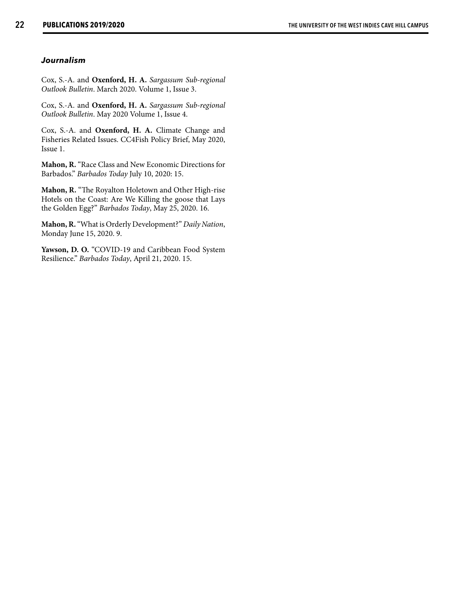### *Journalism*

Cox, S.-A. and **Oxenford, H. A.** *Sargassum Sub-regional Outlook Bulletin*. March 2020. Volume 1, Issue 3.

Cox, S.-A. and **Oxenford, H. A.** *Sargassum Sub-regional Outlook Bulletin*. May 2020 Volume 1, Issue 4.

Cox, S.-A. and **Oxenford, H. A.** Climate Change and Fisheries Related Issues. CC4Fish Policy Brief, May 2020, Issue 1.

**Mahon, R.** "Race Class and New Economic Directions for Barbados." *Barbados Today* July 10, 2020: 15.

**Mahon, R.** "The Royalton Holetown and Other High-rise Hotels on the Coast: Are We Killing the goose that Lays the Golden Egg?" *Barbados Today*, May 25, 2020. 16.

**Mahon, R.** "What is Orderly Development?" *Daily Nation*, Monday June 15, 2020. 9.

**Yawson, D. O.** "COVID-19 and Caribbean Food System Resilience." *Barbados Today*, April 21, 2020. 15.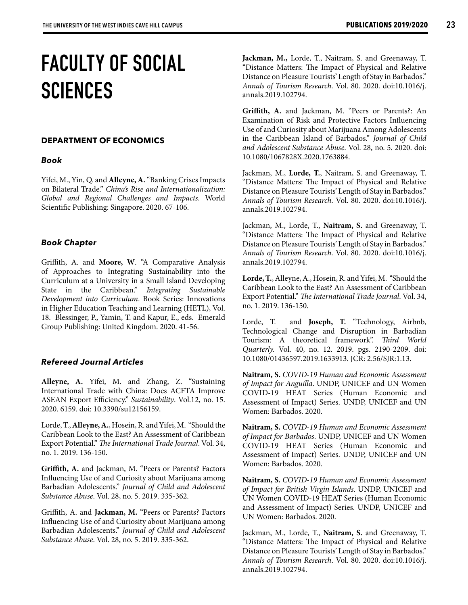### **FACULTY OF SOCIAL SCIENCES**

### **DEPARTMENT OF ECONOMICS**

### *Book*

Yifei, M., Yin, Q. and **Alleyne, A.** "Banking Crises Impacts on Bilateral Trade." *China's Rise and Internationalization: Global and Regional Challenges and Impacts*. World Scientific Publishing: Singapore. 2020. 67-106.

### *Book Chapter*

Griffith, A. and **Moore, W**. "A Comparative Analysis of Approaches to Integrating Sustainability into the Curriculum at a University in a Small Island Developing State in the Caribbean." *Integrating Sustainable Development into Curriculum*. Book Series: Innovations in Higher Education Teaching and Learning (HETL), Vol. 18. Blessinger, P., Yamin, T. and Kapur, E., eds. Emerald Group Publishing: United Kingdom. 2020. 41-56.

### *Refereed Journal Articles*

**Alleyne, A.** Yifei, M. and Zhang, Z. "Sustaining International Trade with China: Does ACFTA Improve ASEAN Export Efficiency." *Sustainability*. Vol.12, no. 15. 2020. 6159. doi: 10.3390/su12156159.

Lorde, T., **Alleyne, A.**, Hosein, R. and Yifei, M. "Should the Caribbean Look to the East? An Assessment of Caribbean Export Potential." *The International Trade Journal*. Vol. 34, no. 1. 2019. 136-150.

**Griffith, A.** and Jackman, M. "Peers or Parents? Factors Influencing Use of and Curiosity about Marijuana among Barbadian Adolescents." *Journal of Child and Adolescent Substance Abuse*. Vol. 28, no. 5. 2019. 335-362.

Griffith, A. and **Jackman, M.** "Peers or Parents? Factors Influencing Use of and Curiosity about Marijuana among Barbadian Adolescents." *Journal of Child and Adolescent Substance Abuse*. Vol. 28, no. 5. 2019. 335-362.

**Jackman, M.,** Lorde, T., Naitram, S. and Greenaway, T. "Distance Matters: The Impact of Physical and Relative Distance on Pleasure Tourists' Length of Stay in Barbados." *Annals of Tourism Research*. Vol. 80. 2020. doi:10.1016/j. annals.2019.102794.

**Griffith, A.** and Jackman, M. "Peers or Parents?: An Examination of Risk and Protective Factors Influencing Use of and Curiosity about Marijuana Among Adolescents in the Caribbean Island of Barbados." *Journal of Child and Adolescent Substance Abuse*. Vol. 28, no. 5. 2020. doi: 10.1080/1067828X.2020.1763884.

Jackman, M., **Lorde, T.**, Naitram, S. and Greenaway, T. "Distance Matters: The Impact of Physical and Relative Distance on Pleasure Tourists' Length of Stay in Barbados." *Annals of Tourism Research*. Vol. 80. 2020. doi:10.1016/j. annals.2019.102794.

Jackman, M., Lorde, T., **Naitram, S.** and Greenaway, T. "Distance Matters: The Impact of Physical and Relative Distance on Pleasure Tourists' Length of Stay in Barbados." *Annals of Tourism Research*. Vol. 80. 2020. doi:10.1016/j. annals.2019.102794.

**Lorde, T.**, Alleyne, A., Hosein, R. and Yifei, M. "Should the Caribbean Look to the East? An Assessment of Caribbean Export Potential." *The International Trade Journal*. Vol. 34, no. 1. 2019. 136-150.

Lorde, T. and **Joseph, T.** "Technology, Airbnb, Technological Change and Disruption in Barbadian Tourism: A theoretical framework". *Third World Quarterly.* Vol. 40, no. 12. 2019. pgs. 2190-2209. doi: 10.1080/01436597.2019.1633913. JCR: 2.56/SJR:1.13.

**Naitram, S.** *COVID-19 Human and Economic Assessment of Impact for Anguilla*. UNDP, UNICEF and UN Women COVID-19 HEAT Series (Human Economic and Assessment of Impact) Series. UNDP, UNICEF and UN Women: Barbados. 2020.

**Naitram, S.** *COVID-19 Human and Economic Assessment of Impact for Barbados*. UNDP, UNICEF and UN Women COVID-19 HEAT Series (Human Economic and Assessment of Impact) Series. UNDP, UNICEF and UN Women: Barbados. 2020.

**Naitram, S.** *COVID-19 Human and Economic Assessment of Impact for British Virgin Islands*. UNDP, UNICEF and UN Women COVID-19 HEAT Series (Human Economic and Assessment of Impact) Series. UNDP, UNICEF and UN Women: Barbados. 2020.

Jackman, M., Lorde, T., **Naitram, S.** and Greenaway, T. "Distance Matters: The Impact of Physical and Relative Distance on Pleasure Tourists' Length of Stay in Barbados." *Annals of Tourism Research*. Vol. 80. 2020. doi:10.1016/j. annals.2019.102794.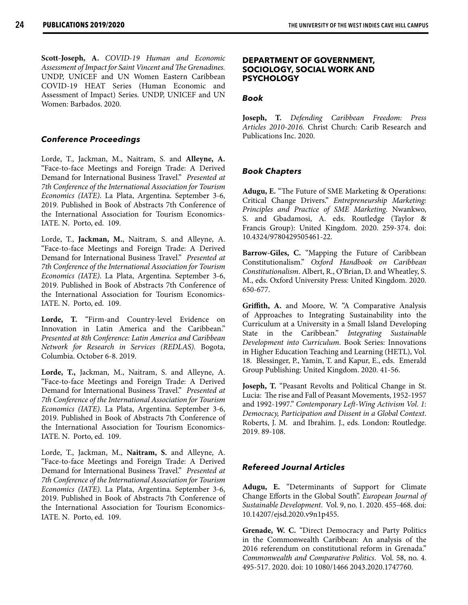**Scott-Joseph, A.** *COVID-19 Human and Economic Assessment of Impact for Saint Vincent and The Grenadines.*  UNDP, UNICEF and UN Women Eastern Caribbean COVID-19 HEAT Series (Human Economic and Assessment of Impact) Series. UNDP, UNICEF and UN Women: Barbados. 2020*.*

### *Conference Proceedings*

Lorde, T., Jackman, M., Naitram, S. and **Alleyne, A.** "Face-to-face Meetings and Foreign Trade: A Derived Demand for International Business Travel." *Presented at 7th Conference of the International Association for Tourism Economics (IATE)*. La Plata, Argentina. September 3-6, 2019. Published in Book of Abstracts 7th Conference of the International Association for Tourism Economics-IATE. N. Porto, ed. 109.

Lorde, T., **Jackman, M.**, Naitram, S. and Alleyne, A. "Face-to-face Meetings and Foreign Trade: A Derived Demand for International Business Travel." *Presented at 7th Conference of the International Association for Tourism Economics (IATE)*. La Plata, Argentina. September 3-6, 2019. Published in Book of Abstracts 7th Conference of the International Association for Tourism Economics-IATE. N. Porto, ed. 109.

**Lorde, T.** "Firm-and Country-level Evidence on Innovation in Latin America and the Caribbean." *Presented at 8th Conference: Latin America and Caribbean Network for Research in Services (REDLAS).* Bogota, Columbia. October 6-8. 2019.

**Lorde, T.,** Jackman, M., Naitram, S. and Alleyne, A. "Face-to-face Meetings and Foreign Trade: A Derived Demand for International Business Travel." *Presented at 7th Conference of the International Association for Tourism Economics (IATE)*. La Plata, Argentina. September 3-6, 2019. Published in Book of Abstracts 7th Conference of the International Association for Tourism Economics-IATE. N. Porto, ed. 109.

Lorde, T., Jackman, M., **Naitram, S.** and Alleyne, A. "Face-to-face Meetings and Foreign Trade: A Derived Demand for International Business Travel." *Presented at 7th Conference of the International Association for Tourism Economics (IATE)*. La Plata, Argentina. September 3-6, 2019. Published in Book of Abstracts 7th Conference of the International Association for Tourism Economics-IATE. N. Porto, ed. 109.

### **DEPARTMENT OF GOVERNMENT, SOCIOLOGY, SOCIAL WORK AND PSYCHOLOGY**

### *Book*

**Joseph, T.** *Defending Caribbean Freedom: Press Articles 2010-2016.* Christ Church: Carib Research and Publications Inc. 2020.

### *Book Chapters*

**Adugu, E.** "The Future of SME Marketing & Operations: Critical Change Drivers." *Entrepreneurship Marketing: Principles and Practice of SME Marketing*. Nwankwo, S. and Gbadamosi, A. eds. Routledge (Taylor & Francis Group): United Kingdom. 2020. 259-374. doi: 10.4324/9780429505461-22.

**Barrow-Giles, C.** "Mapping the Future of Caribbean Constitutionalism." *Oxford Handbook on Caribbean Constitutionalism*. Albert, R., O'Brian, D. and Wheatley, S. M., eds. Oxford University Press: United Kingdom. 2020. 650-677.

**Griffith, A.** and Moore, W. "A Comparative Analysis of Approaches to Integrating Sustainability into the Curriculum at a University in a Small Island Developing State in the Caribbean." *Integrating Sustainable Development into Curriculum*. Book Series: Innovations in Higher Education Teaching and Learning (HETL), Vol. 18. Blessinger, P., Yamin, T. and Kapur, E., eds. Emerald Group Publishing: United Kingdom. 2020. 41-56.

**Joseph, T.** "Peasant Revolts and Political Change in St. Lucia: The rise and Fall of Peasant Movements, 1952-1957 and 1992-1997." *Contemporary Left-Wing Activism Vol. 1: Democracy, Participation and Dissent in a Global Context*. Roberts, J. M. and Ibrahim. J., eds. London: Routledge. 2019. 89-108.

### *Refereed Journal Articles*

**Adugu, E.** "Determinants of Support for Climate Change Efforts in the Global South". *European Journal of Sustainable Development*. Vol. 9, no. 1. 2020. 455-468. doi: 10.14207/ejsd.2020.v9n1p455.

**Grenade, W. C.** "Direct Democracy and Party Politics in the Commonwealth Caribbean: An analysis of the 2016 referendum on constitutional reform in Grenada." *Commonwealth and Comparative Politics*. Vol. 58, no. 4. 495-517. 2020. doi: 10 1080/1466 2043.2020.1747760.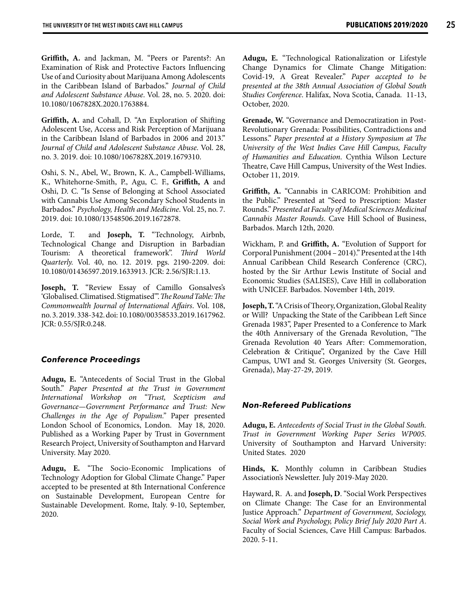**Griffith, A.** and Jackman, M. "Peers or Parents?: An Examination of Risk and Protective Factors Influencing Use of and Curiosity about Marijuana Among Adolescents in the Caribbean Island of Barbados." *Journal of Child and Adolescent Substance Abuse*. Vol. 28, no. 5. 2020. doi: 10.1080/1067828X.2020.1763884.

**Griffith, A.** and Cohall, D. "An Exploration of Shifting Adolescent Use, Access and Risk Perception of Marijuana in the Caribbean Island of Barbados in 2006 and 2013." *Journal of Child and Adolescent Substance Abuse*. Vol. 28, no. 3. 2019. doi: 10.1080/1067828X.2019.1679310.

Oshi, S. N., Abel, W., Brown, K. A., Campbell-Williams, K., Whitehorne-Smith, P., Agu, C. F., **Griffith, A** and Oshi, D. C. "Is Sense of Belonging at School Associated with Cannabis Use Among Secondary School Students in Barbados." *Psychology, Health and Medicine*. Vol. 25, no. 7. 2019. doi: 10.1080/13548506.2019.1672878.

Lorde, T. and **Joseph, T.** "Technology, Airbnb, Technological Change and Disruption in Barbadian Tourism: A theoretical framework". *Third World Quarterly.* Vol. 40, no. 12. 2019. pgs. 2190-2209. doi: 10.1080/01436597.2019.1633913. JCR: 2.56/SJR:1.13.

**Joseph, T.** "Review Essay of Camillo Gonsalves's 'Globalised. Climatised. Stigmatised'". *The Round Table: The Commonwealth Journal of International Affairs*. Vol. 108, no. 3. 2019. 338-342. doi: 10.1080/00358533.2019.1617962. JCR: 0.55/SJR:0.248.

### *Conference Proceedings*

**Adugu, E.** "Antecedents of Social Trust in the Global South." *Paper Presented at the Trust in Government International Workshop on "Trust, Scepticism and Governance—Government Performance and Trust: New Challenges in the Age of Populism."* Paper presented London School of Economics, London. May 18, 2020. Published as a Working Paper by Trust in Government Research Project, University of Southampton and Harvard University. May 2020.

**Adugu, E.** "The Socio-Economic Implications of Technology Adoption for Global Climate Change." Paper accepted to be presented at 8th International Conference on Sustainable Development, European Centre for Sustainable Development. Rome, Italy. 9-10, September, 2020.

**Adugu, E.** "Technological Rationalization or Lifestyle Change Dynamics for Climate Change Mitigation: Covid-19, A Great Revealer." *Paper accepted to be presented at the 38th Annual Association of Global South Studies Conference*. Halifax, Nova Scotia, Canada. 11-13, October, 2020.

**Grenade, W.** "Governance and Democratization in Post-Revolutionary Grenada: Possibilities, Contradictions and Lessons." *Paper presented at a History Symposium at The University of the West Indies Cave Hill Campus, Faculty of Humanities and Education*. Cynthia Wilson Lecture Theatre, Cave Hill Campus, University of the West Indies. October 11, 2019.

**Griffith, A.** "Cannabis in CARICOM: Prohibition and the Public." Presented at "Seed to Prescription: Master Rounds." *Presented at Faculty of Medical Sciences Medicinal Cannabis Master Rounds*. Cave Hill School of Business, Barbados. March 12th, 2020.

Wickham, P. and **Griffith, A.** "Evolution of Support for Corporal Punishment (2004 – 2014)." Presented at the 14th Annual Caribbean Child Research Conference (CRC), hosted by the Sir Arthur Lewis Institute of Social and Economic Studies (SALISES), Cave Hill in collaboration with UNICEF. Barbados. November 14th, 2019.

**Joseph, T.** "A Crisis of Theory, Organization, Global Reality or Will? Unpacking the State of the Caribbean Left Since Grenada 1983", Paper Presented to a Conference to Mark the 40th Anniversary of the Grenada Revolution, "The Grenada Revolution 40 Years After: Commemoration, Celebration & Critique", Organized by the Cave Hill Campus, UWI and St. Georges University (St. Georges, Grenada), May-27-29, 2019.

### *Non-Refereed Publications*

**Adugu, E.** *Antecedents of Social Trust in the Global South. Trust in Government Working Paper Series WP005.* University of Southampton and Harvard University: United States. 2020

**Hinds, K.** Monthly column in Caribbean Studies Association's Newsletter. July 2019-May 2020.

Hayward, R. A. and **Joseph, D**. "Social Work Perspectives on Climate Change: The Case for an Environmental Justice Approach." *Department of Government, Sociology, Social Work and Psychology, Policy Brief July 2020 Part A*. Faculty of Social Sciences, Cave Hill Campus: Barbados. 2020. 5-11.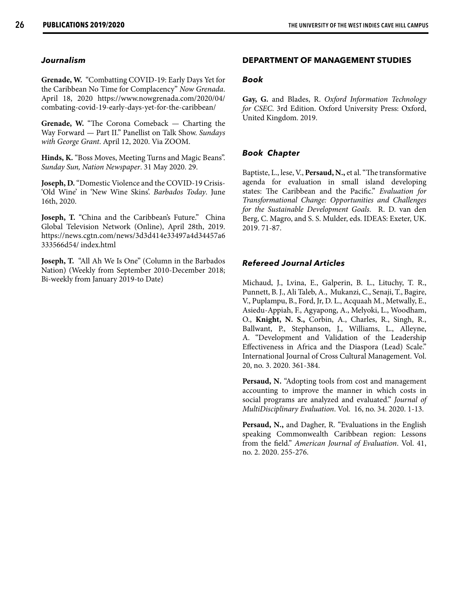### *Journalism*

**Grenade, W.** "Combatting COVID-19: Early Days Yet for the Caribbean No Time for Complacency" *Now Grenada*. April 18, 2020 https://www.nowgrenada.com/2020/04/ combating-covid-19-early-days-yet-for-the-caribbean/

**Grenade, W.** "The Corona Comeback — Charting the Way Forward — Part II." Panellist on Talk Show. *Sundays with George Grant*. April 12, 2020. Via ZOOM.

**Hinds, K.** "Boss Moves, Meeting Turns and Magic Beans". *Sunday Sun, Nation Newspaper*. 31 May 2020. 29.

**Joseph, D.** "Domestic Violence and the COVID-19 Crisis- 'Old Wine' in 'New Wine Skins'. *Barbados Today*. June 16th, 2020.

Joseph, T. "China and the Caribbean's Future." China Global Television Network (Online), April 28th, 2019. https://news.cgtn.com/news/3d3d414e33497a4d34457a6 333566d54/ index.html

**Joseph, T.** "All Ah We Is One" (Column in the Barbados Nation) (Weekly from September 2010-December 2018; Bi-weekly from January 2019-to Date)

### **DEPARTMENT OF MANAGEMENT STUDIES**

### *Book*

**Gay, G.** and Blades, R. *Oxford Information Technology for CSEC*. 3rd Edition. Oxford University Press: Oxford, United Kingdom. 2019.

### *Book Chapter*

Baptiste, L., lese, V., **Persaud, N.,** et al. "The transformative agenda for evaluation in small island developing states: The Caribbean and the Pacific." *Evaluation for Transformational Change: Opportunities and Challenges for the Sustainable Development Goals*. R. D. van den Berg, C. Magro, and S. S. Mulder, eds. IDEAS: Exeter, UK. 2019. 71-87.

### *Refereed Journal Articles*

Michaud, J., Lvina, E., Galperin, B. L., Lituchy, T. R., Punnett, B. J., Ali Taleb, A., Mukanzi, C., Senaji, T., Bagire, V., Puplampu, B., Ford, Jr, D. L., Acquaah M., Metwally, E., Asiedu-Appiah, F., Agyapong, A., Melyoki, L., Woodham, O., **Knight, N. S.,** Corbin, A., Charles, R., Singh, R., Ballwant, P., Stephanson, J., Williams, L., Alleyne, A. "Development and Validation of the Leadership Effectiveness in Africa and the Diaspora (Lead) Scale." International Journal of Cross Cultural Management. Vol. 20, no. 3. 2020. 361-384.

**Persaud, N.** "Adopting tools from cost and management accounting to improve the manner in which costs in social programs are analyzed and evaluated." *Journal of MultiDisciplinary Evaluation*. Vol. 16, no. 34. 2020. 1-13.

**Persaud, N.,** and Dagher, R. "Evaluations in the English speaking Commonwealth Caribbean region: Lessons from the field." *American Journal of Evaluation*. Vol. 41, no. 2. 2020. 255-276.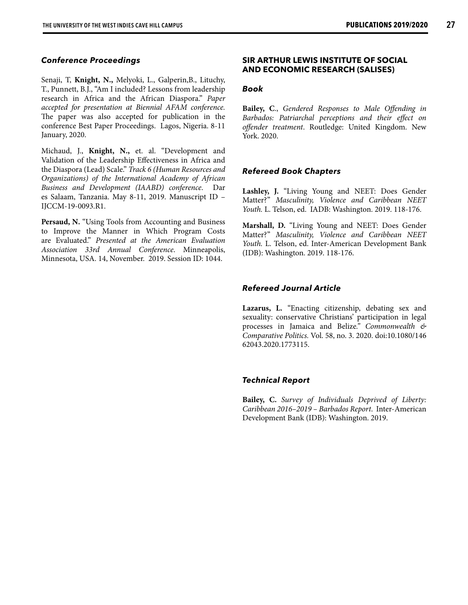### *Conference Proceedings*

Senaji, T, **Knight, N.,** Melyoki, L., Galperin,B., Lituchy, T., Punnett, B.J., "Am I included? Lessons from leadership research in Africa and the African Diaspora." *Paper accepted for presentation at Biennial AFAM conference.* The paper was also accepted for publication in the conference Best Paper Proceedings. Lagos, Nigeria. 8-11 January, 2020.

Michaud, J., **Knight, N.,** et. al. "Development and Validation of the Leadership Effectiveness in Africa and the Diaspora (Lead) Scale." *Track 6 (Human Resources and Organizations) of the International Academy of African Business and Development (IAABD) conference*. Dar es Salaam, Tanzania. May 8-11, 2019. Manuscript ID – IJCCM-19-0093.R1.

**Persaud, N.** "Using Tools from Accounting and Business to Improve the Manner in Which Program Costs are Evaluated." *Presented at the American Evaluation Association 33rd Annual Conference*. Minneapolis, Minnesota, USA. 14, November. 2019. Session ID: 1044.

### **SIR ARTHUR LEWIS INSTITUTE OF SOCIAL AND ECONOMIC RESEARCH (SALISES)**

### *Book*

**Bailey, C**., *Gendered Responses to Male Offending in Barbados: Patriarchal perceptions and their effect on offender treatment*. Routledge: United Kingdom. New York. 2020.

### *Refereed Book Chapters*

**Lashley, J.** "Living Young and NEET: Does Gender Matter?" *Masculinity, Violence and Caribbean NEET Youth.* L. Telson, ed. IADB: Washington. 2019. 118-176.

**Marshall, D.** "Living Young and NEET: Does Gender Matter?" *Masculinity, Violence and Caribbean NEET Youth.* L. Telson, ed. Inter-American Development Bank (IDB): Washington. 2019. 118-176.

### *Refereed Journal Article*

**Lazarus, L.** "Enacting citizenship, debating sex and sexuality: conservative Christians' participation in legal processes in Jamaica and Belize*." Commonwealth & Comparative Politics.* Vol. 58, no. 3. 2020. doi:10.1080/146 62043.2020.1773115.

### *Technical Report*

**Bailey, C.** *Survey of Individuals Deprived of Liberty: Caribbean 2016–2019 – Barbados Report*. Inter-American Development Bank (IDB): Washington. 2019.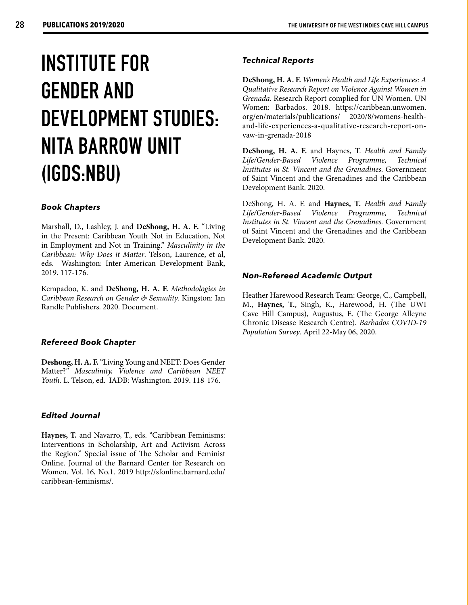## **INSTITUTE FOR GENDER AND DEVELOPMENT STUDIES: NITA BARROW UNIT (IGDS:NBU)**

### *Book Chapters*

Marshall, D., Lashley, J. and **DeShong, H. A. F.** "Living in the Present: Caribbean Youth Not in Education, Not in Employment and Not in Training." *Masculinity in the Caribbean: Why Does it Matter*. Telson, Laurence, et al, eds. Washington: Inter-American Development Bank, 2019. 117-176.

Kempadoo, K. and **DeShong, H. A. F.** *Methodologies in Caribbean Research on Gender & Sexuality*. Kingston: Ian Randle Publishers. 2020. Document.

### *Refereed Book Chapter*

**Deshong, H. A. F.** "Living Young and NEET: Does Gender Matter?" *Masculinity, Violence and Caribbean NEET Youth.* L. Telson, ed. IADB: Washington. 2019. 118-176.

### *Edited Journal*

**Haynes, T.** and Navarro, T., eds. "Caribbean Feminisms: Interventions in Scholarship, Art and Activism Across the Region." Special issue of The Scholar and Feminist Online. Journal of the Barnard Center for Research on Women. Vol. 16, No.1. 2019 http://sfonline.barnard.edu/ caribbean-feminisms/.

### *Technical Reports*

**DeShong, H. A. F.** *Women's Health and Life Experiences: A Qualitative Research Report on Violence Against Women in Grenada*. Research Report complied for UN Women. UN Women: Barbados. 2018. https://caribbean.unwomen. org/en/materials/publications/ 2020/8/womens-healthand-life-experiences-a-qualitative-research-report-onvaw-in-grenada-2018

**DeShong, H. A. F.** and Haynes, T. *Health and Family Life/Gender-Based Violence Programme, Technical Institutes in St. Vincent and the Grenadines*. Government of Saint Vincent and the Grenadines and the Caribbean Development Bank. 2020.

DeShong, H. A. F. and **Haynes, T.** *Health and Family Life/Gender-Based Violence Programme, Technical Institutes in St. Vincent and the Grenadines*. Government of Saint Vincent and the Grenadines and the Caribbean Development Bank. 2020.

### *Non-Refereed Academic Output*

Heather Harewood Research Team: George, C., Campbell, M., **Haynes, T.**, Singh, K., Harewood, H. (The UWI Cave Hill Campus), Augustus, E. (The George Alleyne Chronic Disease Research Centre). *Barbados COVID-19 Population Survey*. April 22-May 06, 2020.